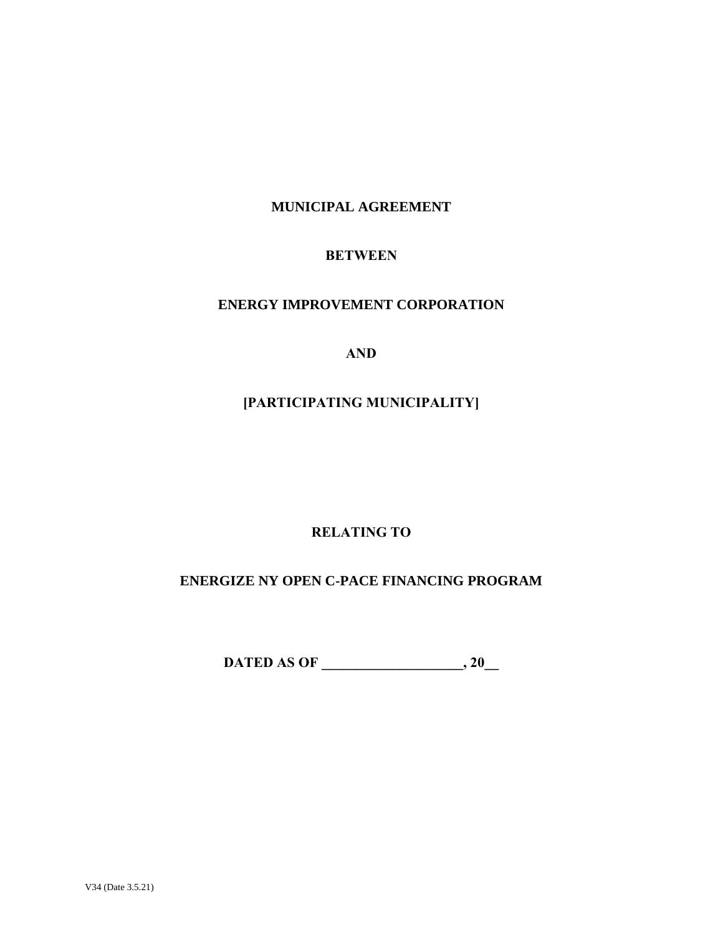# **MUNICIPAL AGREEMENT**

# **BETWEEN**

# **ENERGY IMPROVEMENT CORPORATION**

**AND**

# **[PARTICIPATING MUNICIPALITY]**

# **RELATING TO**

# **ENERGIZE NY OPEN C-PACE FINANCING PROGRAM**

**DATED AS OF \_\_\_\_\_\_\_\_\_\_\_\_\_\_\_\_\_\_\_\_, 20\_\_**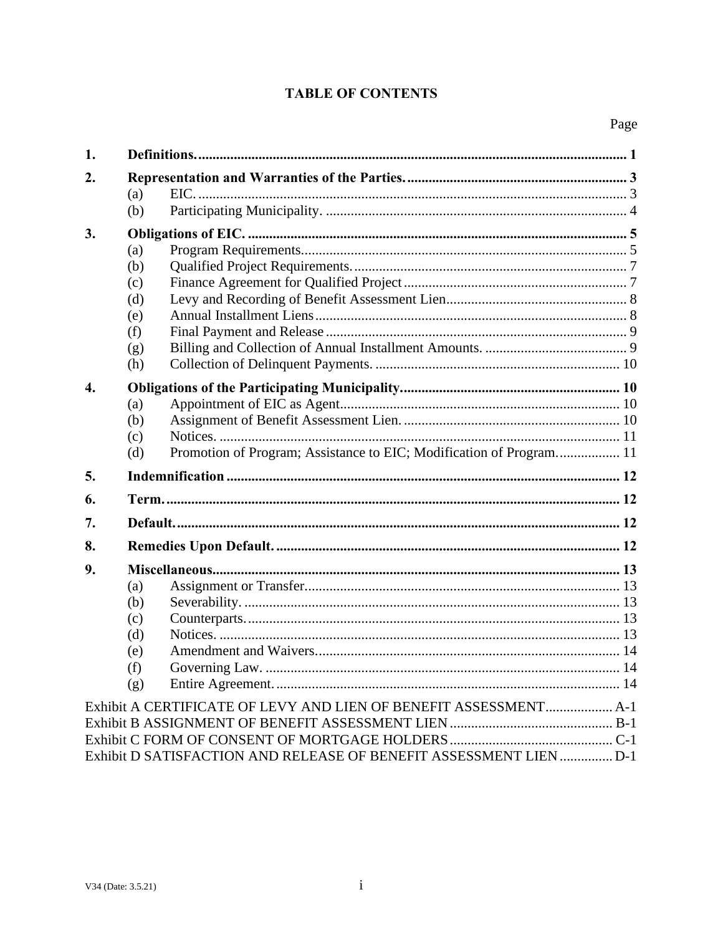# **TABLE OF CONTENTS**

| 1.               |                                                                            |  |  |  |
|------------------|----------------------------------------------------------------------------|--|--|--|
| 2.               |                                                                            |  |  |  |
|                  | (a)                                                                        |  |  |  |
|                  | (b)                                                                        |  |  |  |
| 3.               |                                                                            |  |  |  |
|                  | (a)                                                                        |  |  |  |
|                  | (b)                                                                        |  |  |  |
|                  | (c)                                                                        |  |  |  |
|                  | (d)                                                                        |  |  |  |
|                  | (e)                                                                        |  |  |  |
|                  | (f)                                                                        |  |  |  |
|                  | (g)                                                                        |  |  |  |
|                  | (h)                                                                        |  |  |  |
| $\overline{4}$ . |                                                                            |  |  |  |
|                  | (a)                                                                        |  |  |  |
|                  | (b)                                                                        |  |  |  |
|                  | (c)                                                                        |  |  |  |
|                  | Promotion of Program; Assistance to EIC; Modification of Program 11<br>(d) |  |  |  |
| 5.               |                                                                            |  |  |  |
| 6.               |                                                                            |  |  |  |
| 7.               |                                                                            |  |  |  |
| 8.               |                                                                            |  |  |  |
| 9.               |                                                                            |  |  |  |
|                  | (a)                                                                        |  |  |  |
|                  | (b)                                                                        |  |  |  |
|                  | (c)                                                                        |  |  |  |
|                  | (d)                                                                        |  |  |  |
|                  | (e)                                                                        |  |  |  |
|                  | (f)                                                                        |  |  |  |
|                  | (g)                                                                        |  |  |  |
|                  | Exhibit A CERTIFICATE OF LEVY AND LIEN OF BENEFIT ASSESSMENT A-1           |  |  |  |
|                  |                                                                            |  |  |  |
|                  |                                                                            |  |  |  |
|                  | Exhibit D SATISFACTION AND RELEASE OF BENEFIT ASSESSMENT LIEN  D-1         |  |  |  |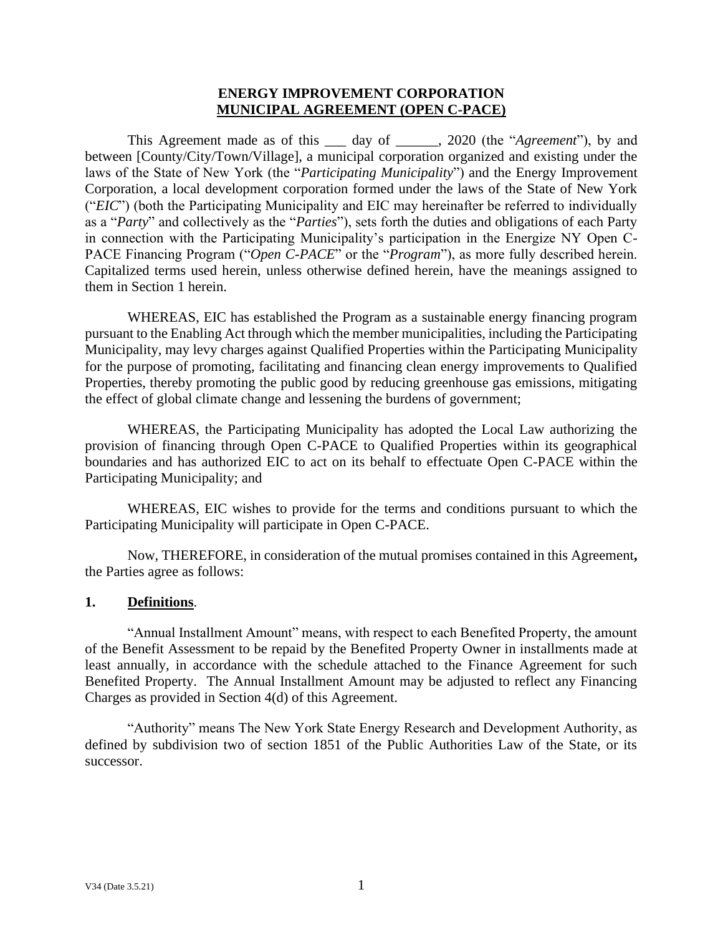## **ENERGY IMPROVEMENT CORPORATION MUNICIPAL AGREEMENT (OPEN C-PACE)**

This Agreement made as of this \_\_\_ day of \_\_\_\_\_\_, 2020 (the "*Agreement*"), by and between [County/City/Town/Village], a municipal corporation organized and existing under the laws of the State of New York (the "*Participating Municipality*") and the Energy Improvement Corporation, a local development corporation formed under the laws of the State of New York ("*EIC*") (both the Participating Municipality and EIC may hereinafter be referred to individually as a "*Party*" and collectively as the "*Parties*"), sets forth the duties and obligations of each Party in connection with the Participating Municipality's participation in the Energize NY Open C-PACE Financing Program ("*Open C-PACE*" or the "*Program*"), as more fully described herein. Capitalized terms used herein, unless otherwise defined herein, have the meanings assigned to them in Section 1 herein.

WHEREAS, EIC has established the Program as a sustainable energy financing program pursuant to the Enabling Act through which the member municipalities, including the Participating Municipality, may levy charges against Qualified Properties within the Participating Municipality for the purpose of promoting, facilitating and financing clean energy improvements to Qualified Properties, thereby promoting the public good by reducing greenhouse gas emissions, mitigating the effect of global climate change and lessening the burdens of government;

WHEREAS, the Participating Municipality has adopted the Local Law authorizing the provision of financing through Open C-PACE to Qualified Properties within its geographical boundaries and has authorized EIC to act on its behalf to effectuate Open C-PACE within the Participating Municipality; and

WHEREAS, EIC wishes to provide for the terms and conditions pursuant to which the Participating Municipality will participate in Open C-PACE.

Now, THEREFORE, in consideration of the mutual promises contained in this Agreement**,**  the Parties agree as follows:

### <span id="page-2-0"></span>**1. Definitions**.

"Annual Installment Amount" means, with respect to each Benefited Property, the amount of the Benefit Assessment to be repaid by the Benefited Property Owner in installments made at least annually, in accordance with the schedule attached to the Finance Agreement for such Benefited Property. The Annual Installment Amount may be adjusted to reflect any Financing Charges as provided in Section 4(d) of this Agreement.

"Authority" means The New York State Energy Research and Development Authority, as defined by subdivision two of section 1851 of the Public Authorities Law of the State, or its successor.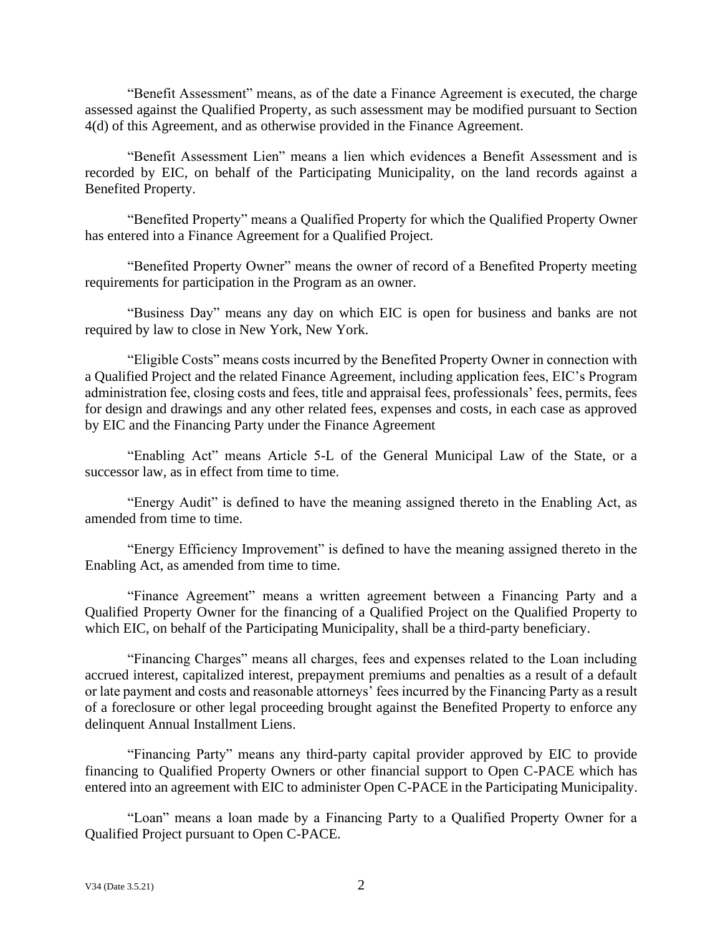"Benefit Assessment" means, as of the date a Finance Agreement is executed, the charge assessed against the Qualified Property, as such assessment may be modified pursuant to Section 4(d) of this Agreement, and as otherwise provided in the Finance Agreement.

"Benefit Assessment Lien" means a lien which evidences a Benefit Assessment and is recorded by EIC, on behalf of the Participating Municipality, on the land records against a Benefited Property.

"Benefited Property" means a Qualified Property for which the Qualified Property Owner has entered into a Finance Agreement for a Qualified Project.

"Benefited Property Owner" means the owner of record of a Benefited Property meeting requirements for participation in the Program as an owner.

"Business Day" means any day on which EIC is open for business and banks are not required by law to close in New York, New York.

"Eligible Costs" means costs incurred by the Benefited Property Owner in connection with a Qualified Project and the related Finance Agreement, including application fees, EIC's Program administration fee, closing costs and fees, title and appraisal fees, professionals' fees, permits, fees for design and drawings and any other related fees, expenses and costs, in each case as approved by EIC and the Financing Party under the Finance Agreement

"Enabling Act" means Article 5-L of the General Municipal Law of the State, or a successor law, as in effect from time to time.

"Energy Audit" is defined to have the meaning assigned thereto in the Enabling Act, as amended from time to time.

"Energy Efficiency Improvement" is defined to have the meaning assigned thereto in the Enabling Act, as amended from time to time.

"Finance Agreement" means a written agreement between a Financing Party and a Qualified Property Owner for the financing of a Qualified Project on the Qualified Property to which EIC, on behalf of the Participating Municipality, shall be a third-party beneficiary.

"Financing Charges" means all charges, fees and expenses related to the Loan including accrued interest, capitalized interest, prepayment premiums and penalties as a result of a default or late payment and costs and reasonable attorneys' fees incurred by the Financing Party as a result of a foreclosure or other legal proceeding brought against the Benefited Property to enforce any delinquent Annual Installment Liens.

"Financing Party" means any third-party capital provider approved by EIC to provide financing to Qualified Property Owners or other financial support to Open C-PACE which has entered into an agreement with EIC to administer Open C-PACE in the Participating Municipality.

"Loan" means a loan made by a Financing Party to a Qualified Property Owner for a Qualified Project pursuant to Open C-PACE.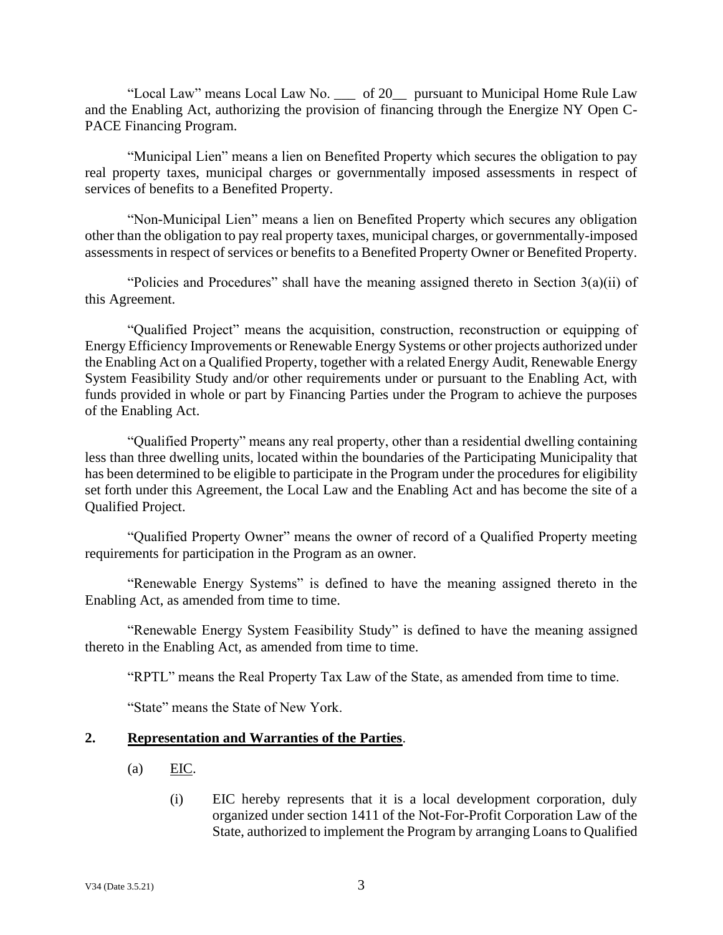"Local Law" means Local Law No. \_\_\_ of 20\_\_ pursuant to Municipal Home Rule Law and the Enabling Act, authorizing the provision of financing through the Energize NY Open C-PACE Financing Program.

"Municipal Lien" means a lien on Benefited Property which secures the obligation to pay real property taxes, municipal charges or governmentally imposed assessments in respect of services of benefits to a Benefited Property.

"Non-Municipal Lien" means a lien on Benefited Property which secures any obligation other than the obligation to pay real property taxes, municipal charges, or governmentally-imposed assessments in respect of services or benefits to a Benefited Property Owner or Benefited Property.

"Policies and Procedures" shall have the meaning assigned thereto in Section  $3(a)(ii)$  of this Agreement.

"Qualified Project" means the acquisition, construction, reconstruction or equipping of Energy Efficiency Improvements or Renewable Energy Systems or other projects authorized under the Enabling Act on a Qualified Property, together with a related Energy Audit, Renewable Energy System Feasibility Study and/or other requirements under or pursuant to the Enabling Act, with funds provided in whole or part by Financing Parties under the Program to achieve the purposes of the Enabling Act.

"Qualified Property" means any real property, other than a residential dwelling containing less than three dwelling units, located within the boundaries of the Participating Municipality that has been determined to be eligible to participate in the Program under the procedures for eligibility set forth under this Agreement, the Local Law and the Enabling Act and has become the site of a Qualified Project.

"Qualified Property Owner" means the owner of record of a Qualified Property meeting requirements for participation in the Program as an owner.

"Renewable Energy Systems" is defined to have the meaning assigned thereto in the Enabling Act, as amended from time to time.

"Renewable Energy System Feasibility Study" is defined to have the meaning assigned thereto in the Enabling Act, as amended from time to time.

"RPTL" means the Real Property Tax Law of the State, as amended from time to time.

"State" means the State of New York.

### <span id="page-4-1"></span><span id="page-4-0"></span>**2. Representation and Warranties of the Parties**.

- $(a)$  EIC.
	- (i) EIC hereby represents that it is a local development corporation, duly organized under section 1411 of the Not-For-Profit Corporation Law of the State, authorized to implement the Program by arranging Loans to Qualified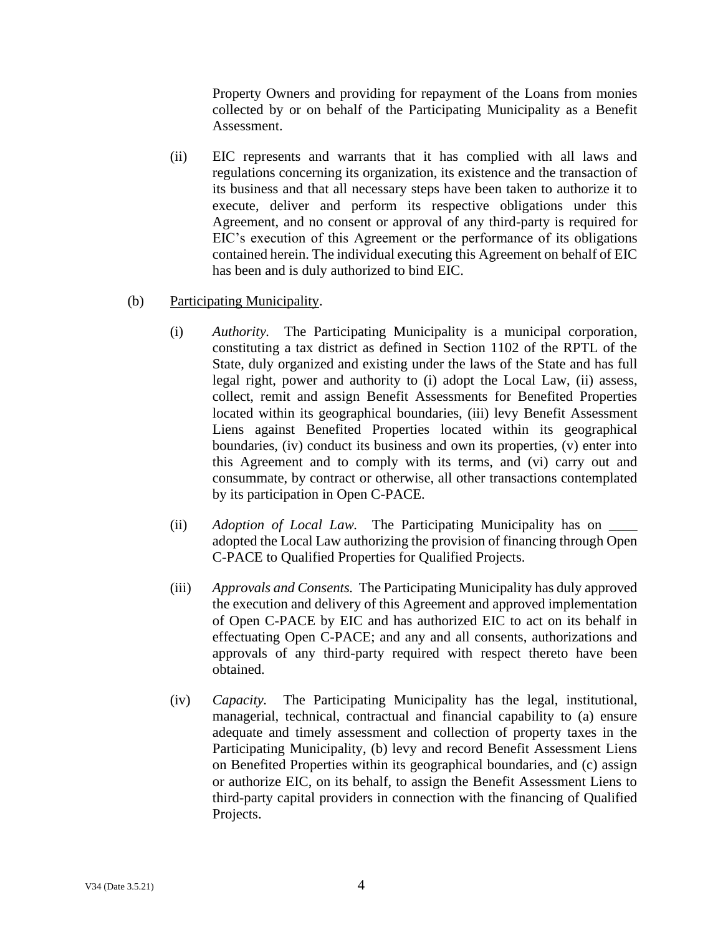Property Owners and providing for repayment of the Loans from monies collected by or on behalf of the Participating Municipality as a Benefit Assessment.

- (ii) EIC represents and warrants that it has complied with all laws and regulations concerning its organization, its existence and the transaction of its business and that all necessary steps have been taken to authorize it to execute, deliver and perform its respective obligations under this Agreement, and no consent or approval of any third-party is required for EIC's execution of this Agreement or the performance of its obligations contained herein. The individual executing this Agreement on behalf of EIC has been and is duly authorized to bind EIC.
- <span id="page-5-0"></span>(b) Participating Municipality.
	- (i) *Authority.* The Participating Municipality is a municipal corporation, constituting a tax district as defined in Section 1102 of the RPTL of the State, duly organized and existing under the laws of the State and has full legal right, power and authority to (i) adopt the Local Law, (ii) assess, collect, remit and assign Benefit Assessments for Benefited Properties located within its geographical boundaries, (iii) levy Benefit Assessment Liens against Benefited Properties located within its geographical boundaries, (iv) conduct its business and own its properties, (v) enter into this Agreement and to comply with its terms, and (vi) carry out and consummate, by contract or otherwise, all other transactions contemplated by its participation in Open C-PACE.
	- (ii) *Adoption of Local Law.* The Participating Municipality has on \_\_\_\_ adopted the Local Law authorizing the provision of financing through Open C-PACE to Qualified Properties for Qualified Projects.
	- (iii) *Approvals and Consents.* The Participating Municipality has duly approved the execution and delivery of this Agreement and approved implementation of Open C-PACE by EIC and has authorized EIC to act on its behalf in effectuating Open C-PACE; and any and all consents, authorizations and approvals of any third-party required with respect thereto have been obtained.
	- (iv) *Capacity.* The Participating Municipality has the legal, institutional, managerial, technical, contractual and financial capability to (a) ensure adequate and timely assessment and collection of property taxes in the Participating Municipality, (b) levy and record Benefit Assessment Liens on Benefited Properties within its geographical boundaries, and (c) assign or authorize EIC, on its behalf, to assign the Benefit Assessment Liens to third-party capital providers in connection with the financing of Qualified Projects.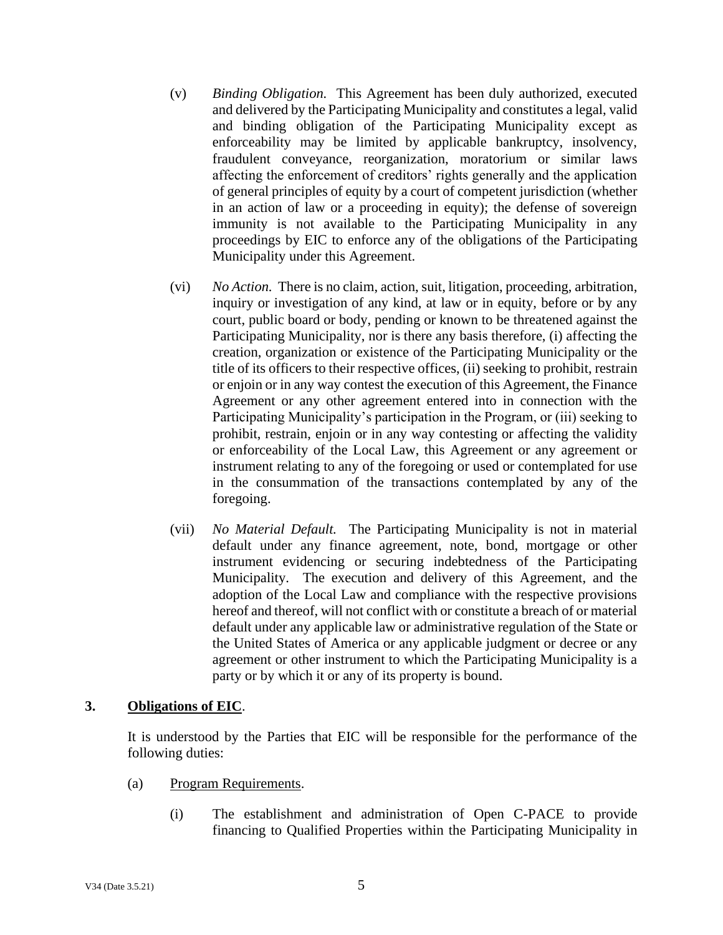- (v) *Binding Obligation.* This Agreement has been duly authorized, executed and delivered by the Participating Municipality and constitutes a legal, valid and binding obligation of the Participating Municipality except as enforceability may be limited by applicable bankruptcy, insolvency, fraudulent conveyance, reorganization, moratorium or similar laws affecting the enforcement of creditors' rights generally and the application of general principles of equity by a court of competent jurisdiction (whether in an action of law or a proceeding in equity); the defense of sovereign immunity is not available to the Participating Municipality in any proceedings by EIC to enforce any of the obligations of the Participating Municipality under this Agreement.
- (vi) *No Action.* There is no claim, action, suit, litigation, proceeding, arbitration, inquiry or investigation of any kind, at law or in equity, before or by any court, public board or body, pending or known to be threatened against the Participating Municipality, nor is there any basis therefore, (i) affecting the creation, organization or existence of the Participating Municipality or the title of its officers to their respective offices, (ii) seeking to prohibit, restrain or enjoin or in any way contest the execution of this Agreement, the Finance Agreement or any other agreement entered into in connection with the Participating Municipality's participation in the Program, or (iii) seeking to prohibit, restrain, enjoin or in any way contesting or affecting the validity or enforceability of the Local Law, this Agreement or any agreement or instrument relating to any of the foregoing or used or contemplated for use in the consummation of the transactions contemplated by any of the foregoing.
- (vii) *No Material Default.* The Participating Municipality is not in material default under any finance agreement, note, bond, mortgage or other instrument evidencing or securing indebtedness of the Participating Municipality. The execution and delivery of this Agreement, and the adoption of the Local Law and compliance with the respective provisions hereof and thereof, will not conflict with or constitute a breach of or material default under any applicable law or administrative regulation of the State or the United States of America or any applicable judgment or decree or any agreement or other instrument to which the Participating Municipality is a party or by which it or any of its property is bound.

### <span id="page-6-0"></span>**3. Obligations of EIC**.

It is understood by the Parties that EIC will be responsible for the performance of the following duties:

- <span id="page-6-1"></span>(a) Program Requirements.
	- (i) The establishment and administration of Open C-PACE to provide financing to Qualified Properties within the Participating Municipality in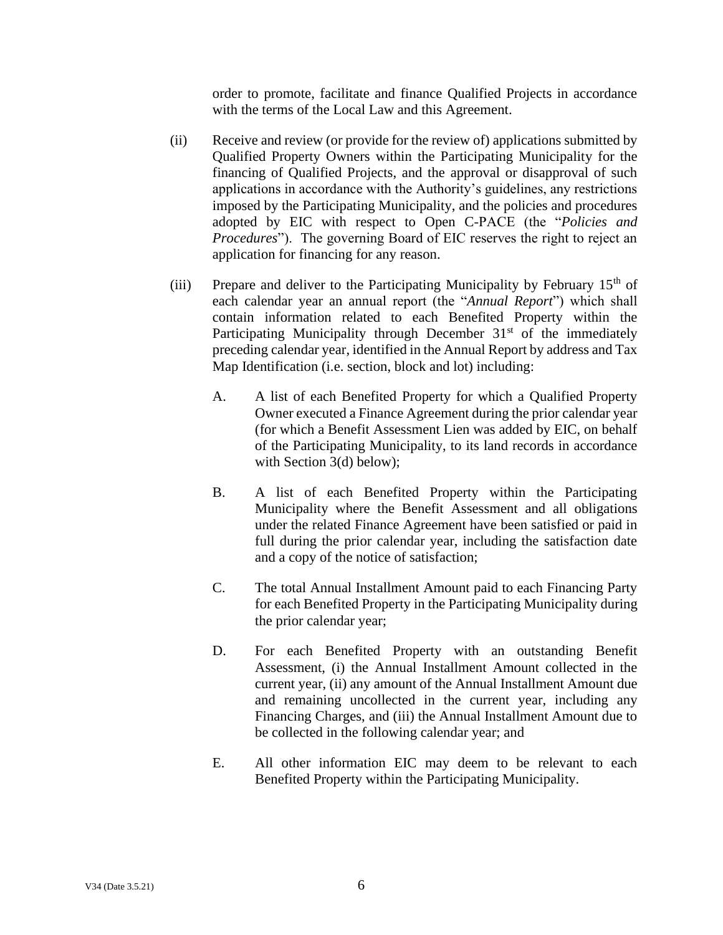order to promote, facilitate and finance Qualified Projects in accordance with the terms of the Local Law and this Agreement.

- (ii) Receive and review (or provide for the review of) applications submitted by Qualified Property Owners within the Participating Municipality for the financing of Qualified Projects, and the approval or disapproval of such applications in accordance with the Authority's guidelines, any restrictions imposed by the Participating Municipality, and the policies and procedures adopted by EIC with respect to Open C-PACE (the "*Policies and Procedures*"). The governing Board of EIC reserves the right to reject an application for financing for any reason.
- (iii) Prepare and deliver to the Participating Municipality by February  $15<sup>th</sup>$  of each calendar year an annual report (the "*Annual Report*") which shall contain information related to each Benefited Property within the Participating Municipality through December  $31<sup>st</sup>$  of the immediately preceding calendar year, identified in the Annual Report by address and Tax Map Identification (i.e. section, block and lot) including:
	- A. A list of each Benefited Property for which a Qualified Property Owner executed a Finance Agreement during the prior calendar year (for which a Benefit Assessment Lien was added by EIC, on behalf of the Participating Municipality, to its land records in accordance with Section 3(d) below);
	- B. A list of each Benefited Property within the Participating Municipality where the Benefit Assessment and all obligations under the related Finance Agreement have been satisfied or paid in full during the prior calendar year, including the satisfaction date and a copy of the notice of satisfaction;
	- C. The total Annual Installment Amount paid to each Financing Party for each Benefited Property in the Participating Municipality during the prior calendar year;
	- D. For each Benefited Property with an outstanding Benefit Assessment, (i) the Annual Installment Amount collected in the current year, (ii) any amount of the Annual Installment Amount due and remaining uncollected in the current year, including any Financing Charges, and (iii) the Annual Installment Amount due to be collected in the following calendar year; and
	- E. All other information EIC may deem to be relevant to each Benefited Property within the Participating Municipality.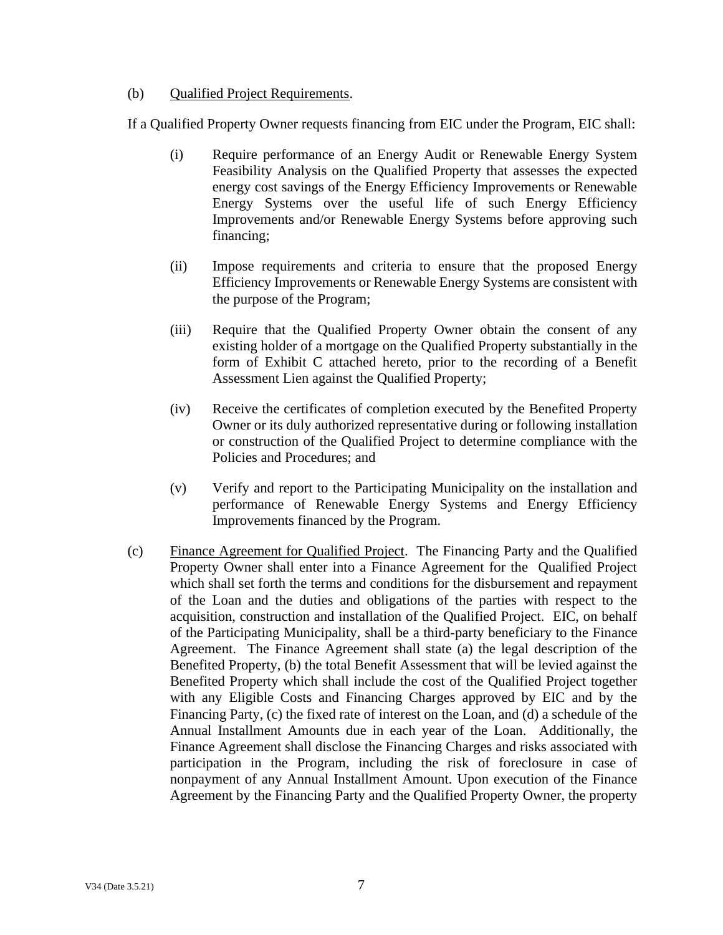## <span id="page-8-0"></span>(b) Qualified Project Requirements.

If a Qualified Property Owner requests financing from EIC under the Program, EIC shall:

- (i) Require performance of an Energy Audit or Renewable Energy System Feasibility Analysis on the Qualified Property that assesses the expected energy cost savings of the Energy Efficiency Improvements or Renewable Energy Systems over the useful life of such Energy Efficiency Improvements and/or Renewable Energy Systems before approving such financing;
- (ii) Impose requirements and criteria to ensure that the proposed Energy Efficiency Improvements or Renewable Energy Systems are consistent with the purpose of the Program;
- (iii) Require that the Qualified Property Owner obtain the consent of any existing holder of a mortgage on the Qualified Property substantially in the form of Exhibit C attached hereto, prior to the recording of a Benefit Assessment Lien against the Qualified Property;
- (iv) Receive the certificates of completion executed by the Benefited Property Owner or its duly authorized representative during or following installation or construction of the Qualified Project to determine compliance with the Policies and Procedures; and
- (v) Verify and report to the Participating Municipality on the installation and performance of Renewable Energy Systems and Energy Efficiency Improvements financed by the Program.
- <span id="page-8-1"></span>(c) Finance Agreement for Qualified Project. The Financing Party and the Qualified Property Owner shall enter into a Finance Agreement for the Qualified Project which shall set forth the terms and conditions for the disbursement and repayment of the Loan and the duties and obligations of the parties with respect to the acquisition, construction and installation of the Qualified Project. EIC, on behalf of the Participating Municipality, shall be a third-party beneficiary to the Finance Agreement. The Finance Agreement shall state (a) the legal description of the Benefited Property, (b) the total Benefit Assessment that will be levied against the Benefited Property which shall include the cost of the Qualified Project together with any Eligible Costs and Financing Charges approved by EIC and by the Financing Party, (c) the fixed rate of interest on the Loan, and (d) a schedule of the Annual Installment Amounts due in each year of the Loan. Additionally, the Finance Agreement shall disclose the Financing Charges and risks associated with participation in the Program, including the risk of foreclosure in case of nonpayment of any Annual Installment Amount. Upon execution of the Finance Agreement by the Financing Party and the Qualified Property Owner, the property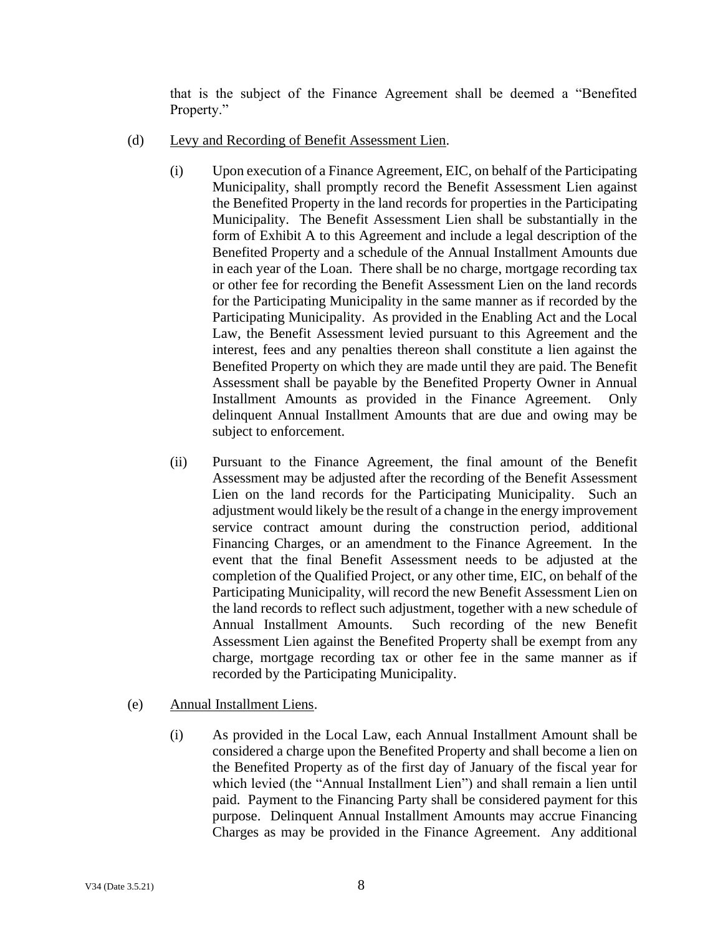that is the subject of the Finance Agreement shall be deemed a "Benefited Property."

- <span id="page-9-0"></span>(d) Levy and Recording of Benefit Assessment Lien.
	- (i) Upon execution of a Finance Agreement, EIC, on behalf of the Participating Municipality, shall promptly record the Benefit Assessment Lien against the Benefited Property in the land records for properties in the Participating Municipality. The Benefit Assessment Lien shall be substantially in the form of Exhibit A to this Agreement and include a legal description of the Benefited Property and a schedule of the Annual Installment Amounts due in each year of the Loan. There shall be no charge, mortgage recording tax or other fee for recording the Benefit Assessment Lien on the land records for the Participating Municipality in the same manner as if recorded by the Participating Municipality. As provided in the Enabling Act and the Local Law, the Benefit Assessment levied pursuant to this Agreement and the interest, fees and any penalties thereon shall constitute a lien against the Benefited Property on which they are made until they are paid. The Benefit Assessment shall be payable by the Benefited Property Owner in Annual Installment Amounts as provided in the Finance Agreement. Only delinquent Annual Installment Amounts that are due and owing may be subject to enforcement.
	- (ii) Pursuant to the Finance Agreement, the final amount of the Benefit Assessment may be adjusted after the recording of the Benefit Assessment Lien on the land records for the Participating Municipality. Such an adjustment would likely be the result of a change in the energy improvement service contract amount during the construction period, additional Financing Charges, or an amendment to the Finance Agreement. In the event that the final Benefit Assessment needs to be adjusted at the completion of the Qualified Project, or any other time, EIC, on behalf of the Participating Municipality, will record the new Benefit Assessment Lien on the land records to reflect such adjustment, together with a new schedule of Annual Installment Amounts. Such recording of the new Benefit Assessment Lien against the Benefited Property shall be exempt from any charge, mortgage recording tax or other fee in the same manner as if recorded by the Participating Municipality.
- <span id="page-9-1"></span>(e) Annual Installment Liens.
	- (i) As provided in the Local Law, each Annual Installment Amount shall be considered a charge upon the Benefited Property and shall become a lien on the Benefited Property as of the first day of January of the fiscal year for which levied (the "Annual Installment Lien") and shall remain a lien until paid. Payment to the Financing Party shall be considered payment for this purpose. Delinquent Annual Installment Amounts may accrue Financing Charges as may be provided in the Finance Agreement. Any additional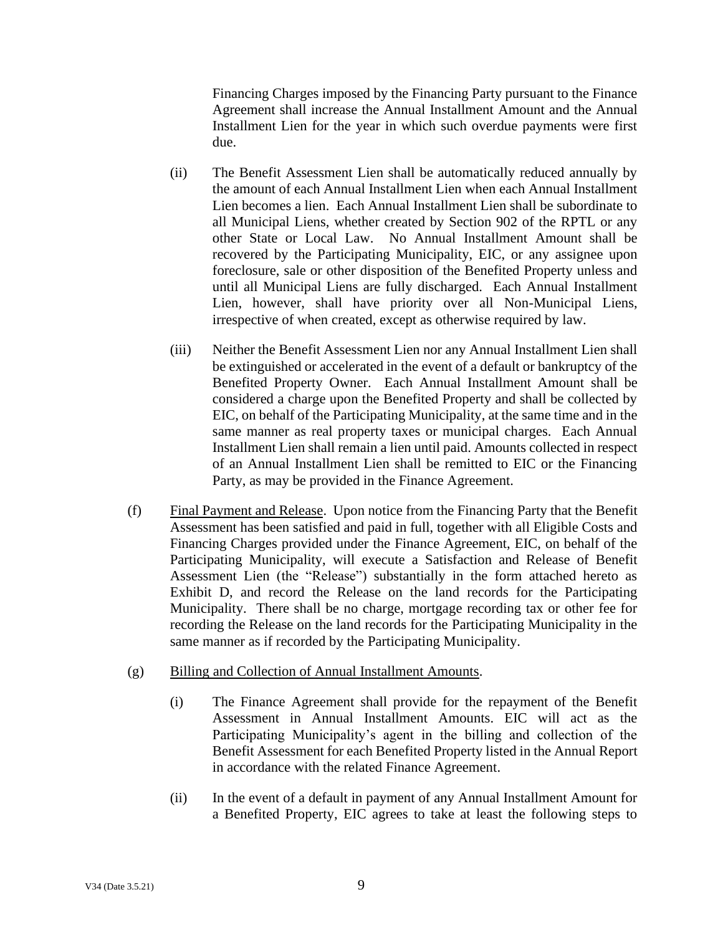Financing Charges imposed by the Financing Party pursuant to the Finance Agreement shall increase the Annual Installment Amount and the Annual Installment Lien for the year in which such overdue payments were first due.

- (ii) The Benefit Assessment Lien shall be automatically reduced annually by the amount of each Annual Installment Lien when each Annual Installment Lien becomes a lien. Each Annual Installment Lien shall be subordinate to all Municipal Liens, whether created by Section 902 of the RPTL or any other State or Local Law. No Annual Installment Amount shall be recovered by the Participating Municipality, EIC, or any assignee upon foreclosure, sale or other disposition of the Benefited Property unless and until all Municipal Liens are fully discharged. Each Annual Installment Lien, however, shall have priority over all Non-Municipal Liens, irrespective of when created, except as otherwise required by law.
- (iii) Neither the Benefit Assessment Lien nor any Annual Installment Lien shall be extinguished or accelerated in the event of a default or bankruptcy of the Benefited Property Owner. Each Annual Installment Amount shall be considered a charge upon the Benefited Property and shall be collected by EIC, on behalf of the Participating Municipality, at the same time and in the same manner as real property taxes or municipal charges. Each Annual Installment Lien shall remain a lien until paid. Amounts collected in respect of an Annual Installment Lien shall be remitted to EIC or the Financing Party, as may be provided in the Finance Agreement.
- <span id="page-10-0"></span>(f) Final Payment and Release. Upon notice from the Financing Party that the Benefit Assessment has been satisfied and paid in full, together with all Eligible Costs and Financing Charges provided under the Finance Agreement, EIC, on behalf of the Participating Municipality, will execute a Satisfaction and Release of Benefit Assessment Lien (the "Release") substantially in the form attached hereto as Exhibit D, and record the Release on the land records for the Participating Municipality. There shall be no charge, mortgage recording tax or other fee for recording the Release on the land records for the Participating Municipality in the same manner as if recorded by the Participating Municipality.
- <span id="page-10-1"></span>(g) Billing and Collection of Annual Installment Amounts.
	- (i) The Finance Agreement shall provide for the repayment of the Benefit Assessment in Annual Installment Amounts. EIC will act as the Participating Municipality's agent in the billing and collection of the Benefit Assessment for each Benefited Property listed in the Annual Report in accordance with the related Finance Agreement.
	- (ii) In the event of a default in payment of any Annual Installment Amount for a Benefited Property, EIC agrees to take at least the following steps to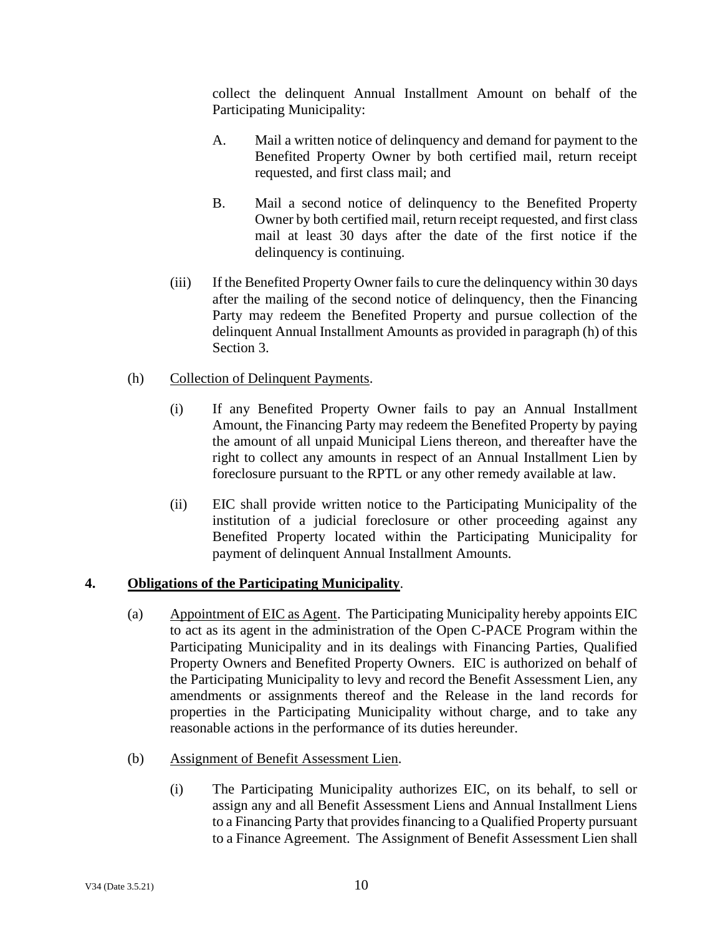collect the delinquent Annual Installment Amount on behalf of the Participating Municipality:

- A. Mail a written notice of delinquency and demand for payment to the Benefited Property Owner by both certified mail, return receipt requested, and first class mail; and
- B. Mail a second notice of delinquency to the Benefited Property Owner by both certified mail, return receipt requested, and first class mail at least 30 days after the date of the first notice if the delinquency is continuing.
- (iii) If the Benefited Property Owner fails to cure the delinquency within 30 days after the mailing of the second notice of delinquency, then the Financing Party may redeem the Benefited Property and pursue collection of the delinquent Annual Installment Amounts as provided in paragraph (h) of this Section 3.
- <span id="page-11-0"></span>(h) Collection of Delinquent Payments.
	- (i) If any Benefited Property Owner fails to pay an Annual Installment Amount, the Financing Party may redeem the Benefited Property by paying the amount of all unpaid Municipal Liens thereon, and thereafter have the right to collect any amounts in respect of an Annual Installment Lien by foreclosure pursuant to the RPTL or any other remedy available at law.
	- (ii) EIC shall provide written notice to the Participating Municipality of the institution of a judicial foreclosure or other proceeding against any Benefited Property located within the Participating Municipality for payment of delinquent Annual Installment Amounts.

# <span id="page-11-2"></span><span id="page-11-1"></span>**4. Obligations of the Participating Municipality**.

- (a) Appointment of EIC as Agent. The Participating Municipality hereby appoints EIC to act as its agent in the administration of the Open C-PACE Program within the Participating Municipality and in its dealings with Financing Parties, Qualified Property Owners and Benefited Property Owners. EIC is authorized on behalf of the Participating Municipality to levy and record the Benefit Assessment Lien, any amendments or assignments thereof and the Release in the land records for properties in the Participating Municipality without charge, and to take any reasonable actions in the performance of its duties hereunder.
- <span id="page-11-3"></span>(b) Assignment of Benefit Assessment Lien.
	- (i) The Participating Municipality authorizes EIC, on its behalf, to sell or assign any and all Benefit Assessment Liens and Annual Installment Liens to a Financing Party that provides financing to a Qualified Property pursuant to a Finance Agreement. The Assignment of Benefit Assessment Lien shall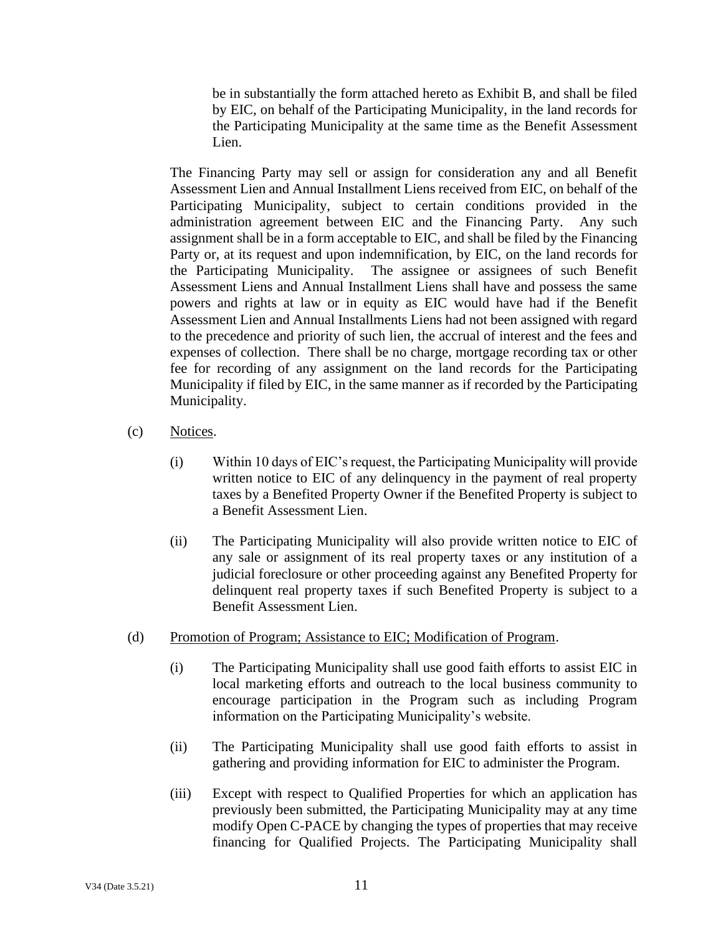be in substantially the form attached hereto as Exhibit B, and shall be filed by EIC, on behalf of the Participating Municipality, in the land records for the Participating Municipality at the same time as the Benefit Assessment Lien.

The Financing Party may sell or assign for consideration any and all Benefit Assessment Lien and Annual Installment Liens received from EIC, on behalf of the Participating Municipality, subject to certain conditions provided in the administration agreement between EIC and the Financing Party. Any such assignment shall be in a form acceptable to EIC, and shall be filed by the Financing Party or, at its request and upon indemnification, by EIC, on the land records for the Participating Municipality. The assignee or assignees of such Benefit Assessment Liens and Annual Installment Liens shall have and possess the same powers and rights at law or in equity as EIC would have had if the Benefit Assessment Lien and Annual Installments Liens had not been assigned with regard to the precedence and priority of such lien, the accrual of interest and the fees and expenses of collection. There shall be no charge, mortgage recording tax or other fee for recording of any assignment on the land records for the Participating Municipality if filed by EIC, in the same manner as if recorded by the Participating Municipality.

- <span id="page-12-0"></span>(c) Notices.
	- (i) Within 10 days of EIC's request, the Participating Municipality will provide written notice to EIC of any delinquency in the payment of real property taxes by a Benefited Property Owner if the Benefited Property is subject to a Benefit Assessment Lien.
	- (ii) The Participating Municipality will also provide written notice to EIC of any sale or assignment of its real property taxes or any institution of a judicial foreclosure or other proceeding against any Benefited Property for delinquent real property taxes if such Benefited Property is subject to a Benefit Assessment Lien.
- <span id="page-12-1"></span>(d) Promotion of Program; Assistance to EIC; Modification of Program.
	- (i) The Participating Municipality shall use good faith efforts to assist EIC in local marketing efforts and outreach to the local business community to encourage participation in the Program such as including Program information on the Participating Municipality's website.
	- (ii) The Participating Municipality shall use good faith efforts to assist in gathering and providing information for EIC to administer the Program.
	- (iii) Except with respect to Qualified Properties for which an application has previously been submitted, the Participating Municipality may at any time modify Open C-PACE by changing the types of properties that may receive financing for Qualified Projects. The Participating Municipality shall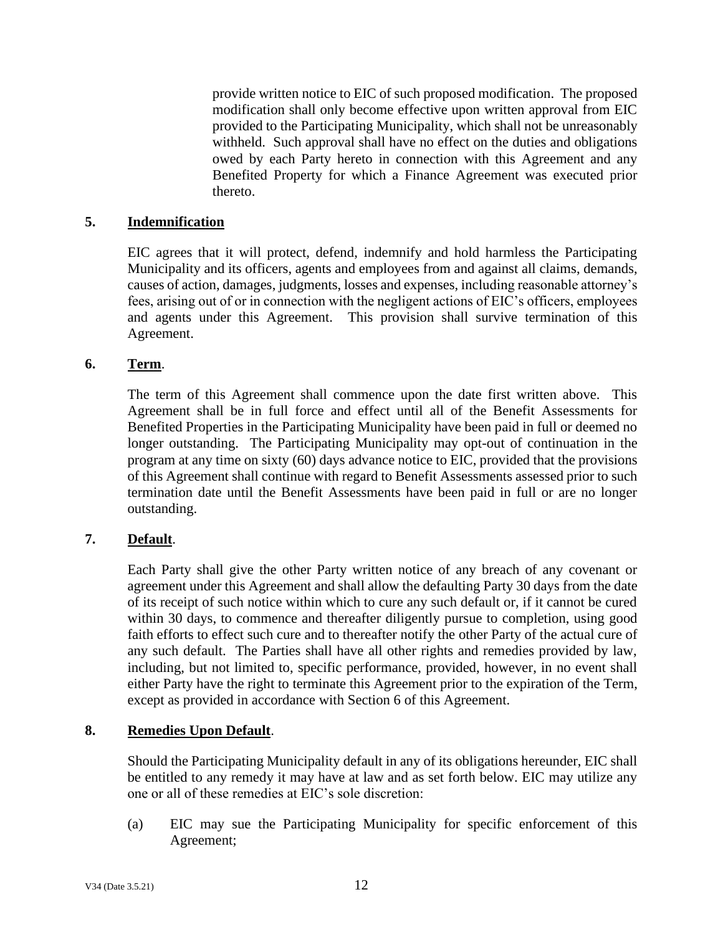provide written notice to EIC of such proposed modification. The proposed modification shall only become effective upon written approval from EIC provided to the Participating Municipality, which shall not be unreasonably withheld. Such approval shall have no effect on the duties and obligations owed by each Party hereto in connection with this Agreement and any Benefited Property for which a Finance Agreement was executed prior thereto.

## <span id="page-13-0"></span>**5. Indemnification**

EIC agrees that it will protect, defend, indemnify and hold harmless the Participating Municipality and its officers, agents and employees from and against all claims, demands, causes of action, damages, judgments, losses and expenses, including reasonable attorney's fees, arising out of or in connection with the negligent actions of EIC's officers, employees and agents under this Agreement. This provision shall survive termination of this Agreement.

### <span id="page-13-1"></span>**6. Term**.

The term of this Agreement shall commence upon the date first written above. This Agreement shall be in full force and effect until all of the Benefit Assessments for Benefited Properties in the Participating Municipality have been paid in full or deemed no longer outstanding. The Participating Municipality may opt-out of continuation in the program at any time on sixty (60) days advance notice to EIC, provided that the provisions of this Agreement shall continue with regard to Benefit Assessments assessed prior to such termination date until the Benefit Assessments have been paid in full or are no longer outstanding.

## <span id="page-13-2"></span>**7. Default**.

Each Party shall give the other Party written notice of any breach of any covenant or agreement under this Agreement and shall allow the defaulting Party 30 days from the date of its receipt of such notice within which to cure any such default or, if it cannot be cured within 30 days, to commence and thereafter diligently pursue to completion, using good faith efforts to effect such cure and to thereafter notify the other Party of the actual cure of any such default. The Parties shall have all other rights and remedies provided by law, including, but not limited to, specific performance, provided, however, in no event shall either Party have the right to terminate this Agreement prior to the expiration of the Term, except as provided in accordance with Section 6 of this Agreement.

### <span id="page-13-3"></span>**8. Remedies Upon Default**.

Should the Participating Municipality default in any of its obligations hereunder, EIC shall be entitled to any remedy it may have at law and as set forth below. EIC may utilize any one or all of these remedies at EIC's sole discretion:

(a) EIC may sue the Participating Municipality for specific enforcement of this Agreement;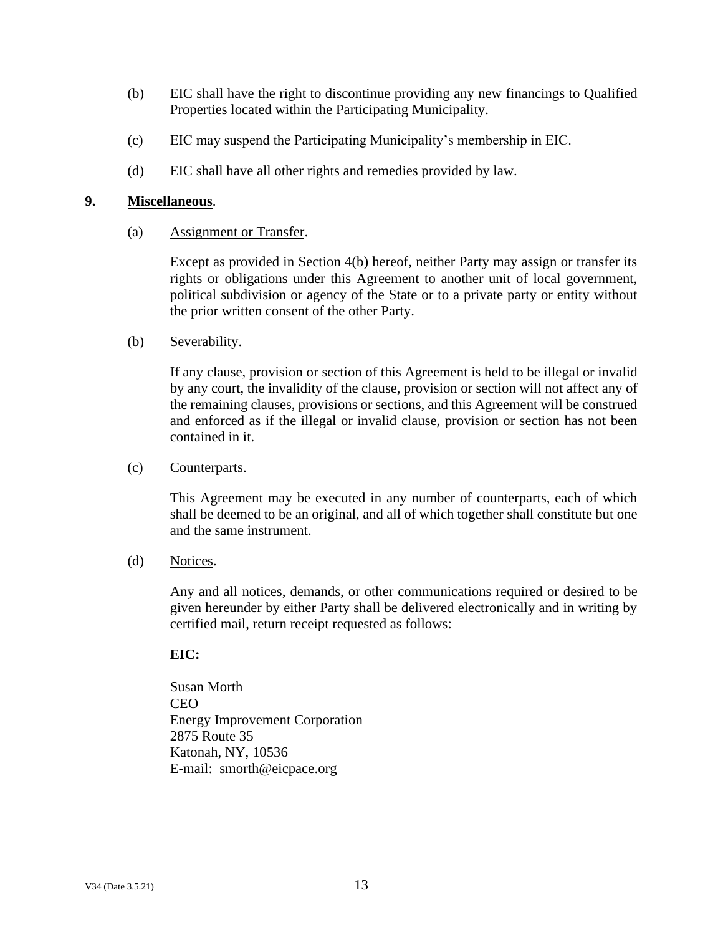- (b) EIC shall have the right to discontinue providing any new financings to Qualified Properties located within the Participating Municipality.
- (c) EIC may suspend the Participating Municipality's membership in EIC.
- (d) EIC shall have all other rights and remedies provided by law.

### <span id="page-14-1"></span><span id="page-14-0"></span>**9. Miscellaneous**.

(a) Assignment or Transfer.

Except as provided in Section 4(b) hereof, neither Party may assign or transfer its rights or obligations under this Agreement to another unit of local government, political subdivision or agency of the State or to a private party or entity without the prior written consent of the other Party.

#### <span id="page-14-2"></span>(b) Severability.

If any clause, provision or section of this Agreement is held to be illegal or invalid by any court, the invalidity of the clause, provision or section will not affect any of the remaining clauses, provisions or sections, and this Agreement will be construed and enforced as if the illegal or invalid clause, provision or section has not been contained in it.

#### <span id="page-14-3"></span>(c) Counterparts.

This Agreement may be executed in any number of counterparts, each of which shall be deemed to be an original, and all of which together shall constitute but one and the same instrument.

#### <span id="page-14-4"></span>(d) Notices.

Any and all notices, demands, or other communications required or desired to be given hereunder by either Party shall be delivered electronically and in writing by certified mail, return receipt requested as follows:

### **EIC:**

Susan Morth **CEO** Energy Improvement Corporation 2875 Route 35 Katonah, NY, 10536 E-mail: smorth@eicpace.org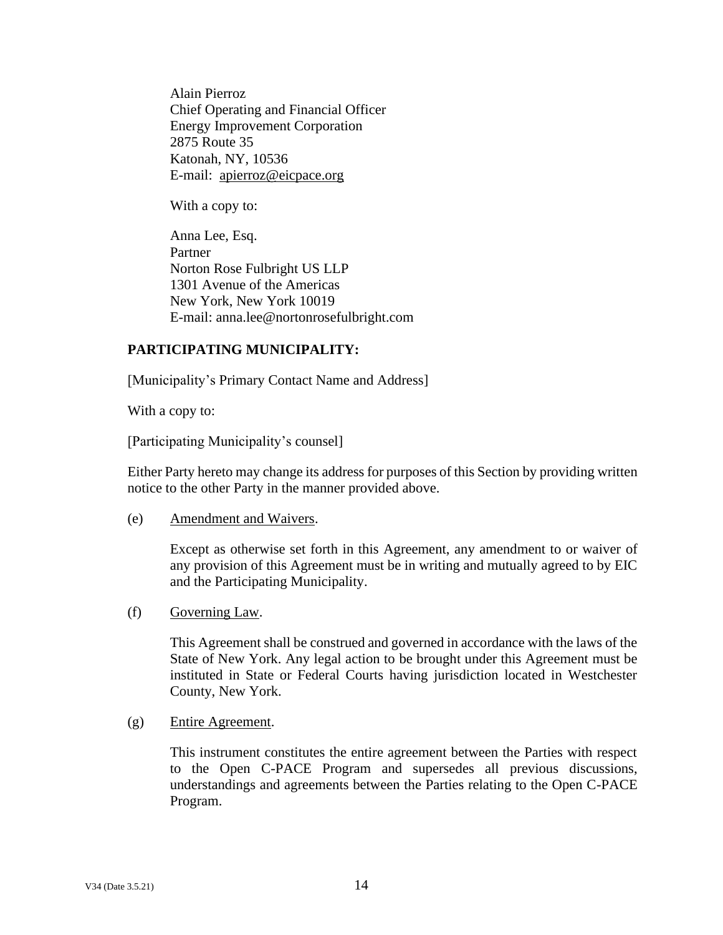Alain Pierroz Chief Operating and Financial Officer Energy Improvement Corporation 2875 Route 35 Katonah, NY, 10536 E-mail: apierroz@eicpace.org

With a copy to:

Anna Lee, Esq. Partner Norton Rose Fulbright US LLP 1301 Avenue of the Americas New York, New York 10019 E-mail: anna.lee@nortonrosefulbright.com

## **PARTICIPATING MUNICIPALITY:**

[Municipality's Primary Contact Name and Address]

With a copy to:

[Participating Municipality's counsel]

Either Party hereto may change its address for purposes of this Section by providing written notice to the other Party in the manner provided above.

<span id="page-15-0"></span>(e) Amendment and Waivers.

Except as otherwise set forth in this Agreement, any amendment to or waiver of any provision of this Agreement must be in writing and mutually agreed to by EIC and the Participating Municipality.

<span id="page-15-1"></span>(f) Governing Law.

This Agreement shall be construed and governed in accordance with the laws of the State of New York. Any legal action to be brought under this Agreement must be instituted in State or Federal Courts having jurisdiction located in Westchester County, New York.

<span id="page-15-2"></span>(g) Entire Agreement.

This instrument constitutes the entire agreement between the Parties with respect to the Open C-PACE Program and supersedes all previous discussions, understandings and agreements between the Parties relating to the Open C-PACE Program.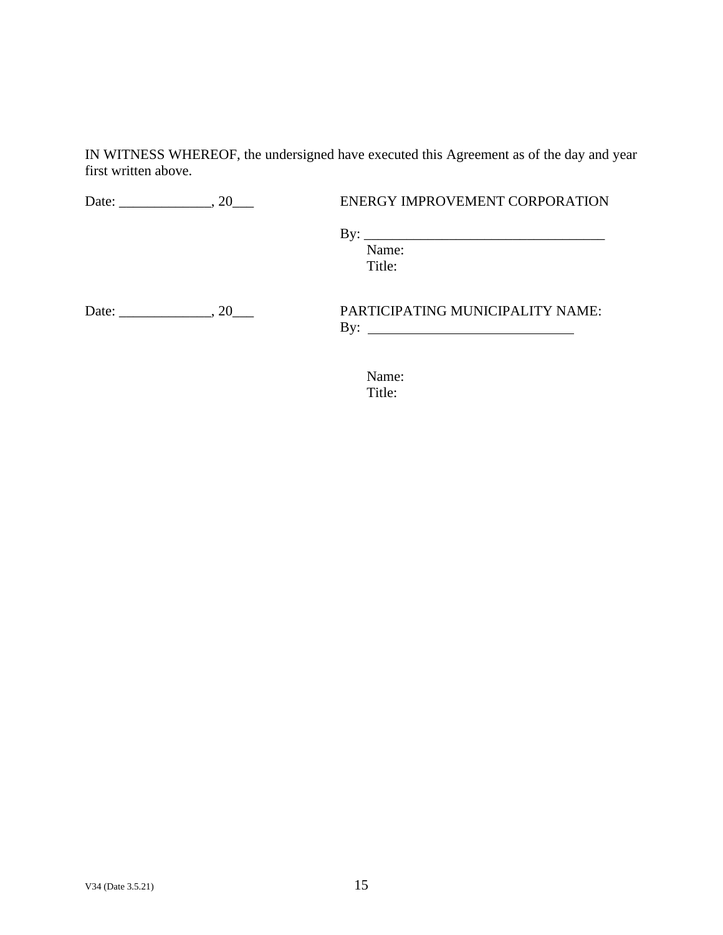IN WITNESS WHEREOF, the undersigned have executed this Agreement as of the day and year first written above.

Date: \_\_\_\_\_\_\_\_\_\_\_\_\_, 20\_\_\_\_ ENERGY IMPROVEMENT CORPORATION

By: \_\_\_\_\_\_\_\_\_\_\_\_\_\_\_\_\_\_\_\_\_\_\_\_\_\_\_\_\_\_\_\_\_\_ Name:

Title:

Date: \_\_\_\_\_\_\_\_\_\_\_\_\_, 20\_\_\_ PARTICIPATING MUNICIPALITY NAME:

By:

Name: Title: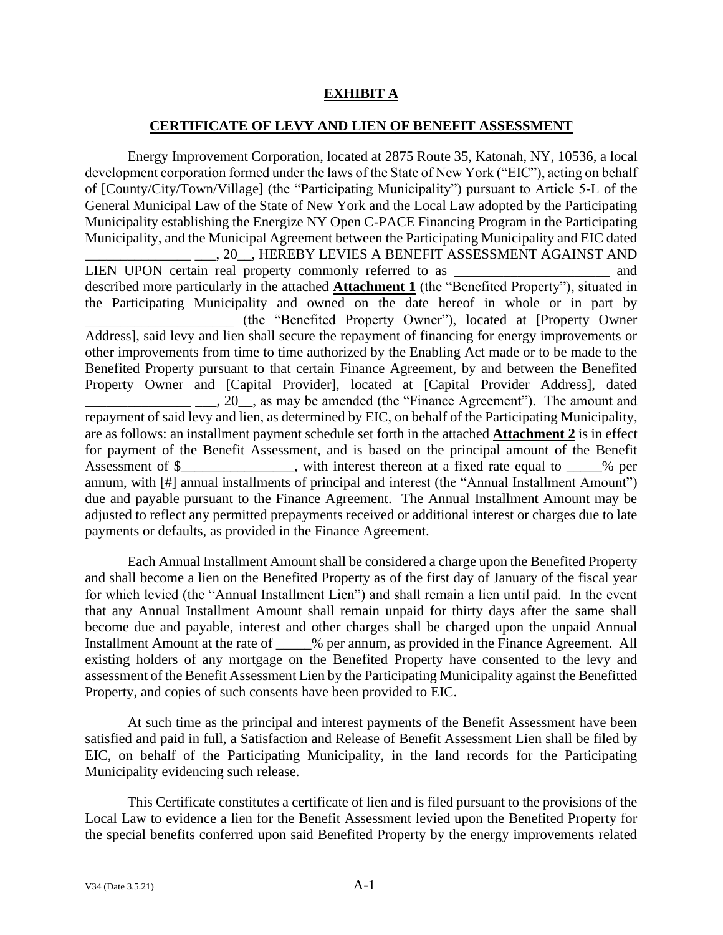# **EXHIBIT A**

#### **CERTIFICATE OF LEVY AND LIEN OF BENEFIT ASSESSMENT**

<span id="page-17-0"></span>Energy Improvement Corporation, located at 2875 Route 35, Katonah, NY, 10536, a local development corporation formed under the laws of the State of New York ("EIC"), acting on behalf of [County/City/Town/Village] (the "Participating Municipality") pursuant to Article 5-L of the General Municipal Law of the State of New York and the Local Law adopted by the Participating Municipality establishing the Energize NY Open C-PACE Financing Program in the Participating Municipality, and the Municipal Agreement between the Participating Municipality and EIC dated \_\_\_\_\_\_\_\_\_\_\_\_\_\_\_ \_\_\_, 20\_\_, HEREBY LEVIES A BENEFIT ASSESSMENT AGAINST AND LIEN UPON certain real property commonly referred to as  $\qquad$  and described more particularly in the attached **Attachment 1** (the "Benefited Property"), situated in the Participating Municipality and owned on the date hereof in whole or in part by \_\_\_\_\_\_\_\_\_\_\_\_\_\_\_\_\_\_\_\_\_ (the "Benefited Property Owner"), located at [Property Owner Address], said levy and lien shall secure the repayment of financing for energy improvements or other improvements from time to time authorized by the Enabling Act made or to be made to the Benefited Property pursuant to that certain Finance Agreement, by and between the Benefited Property Owner and [Capital Provider], located at [Capital Provider Address], dated 1. 20, as may be amended (the "Finance Agreement"). The amount and repayment of said levy and lien, as determined by EIC, on behalf of the Participating Municipality, are as follows: an installment payment schedule set forth in the attached **Attachment 2** is in effect for payment of the Benefit Assessment, and is based on the principal amount of the Benefit Assessment of \$\_\_\_\_\_\_\_\_\_\_\_\_, with interest thereon at a fixed rate equal to \_\_\_\_% per annum, with [#] annual installments of principal and interest (the "Annual Installment Amount") due and payable pursuant to the Finance Agreement. The Annual Installment Amount may be adjusted to reflect any permitted prepayments received or additional interest or charges due to late payments or defaults, as provided in the Finance Agreement.

Each Annual Installment Amount shall be considered a charge upon the Benefited Property and shall become a lien on the Benefited Property as of the first day of January of the fiscal year for which levied (the "Annual Installment Lien") and shall remain a lien until paid. In the event that any Annual Installment Amount shall remain unpaid for thirty days after the same shall become due and payable, interest and other charges shall be charged upon the unpaid Annual Installment Amount at the rate of  $\%$  per annum, as provided in the Finance Agreement. All existing holders of any mortgage on the Benefited Property have consented to the levy and assessment of the Benefit Assessment Lien by the Participating Municipality against the Benefitted Property, and copies of such consents have been provided to EIC.

At such time as the principal and interest payments of the Benefit Assessment have been satisfied and paid in full, a Satisfaction and Release of Benefit Assessment Lien shall be filed by EIC, on behalf of the Participating Municipality, in the land records for the Participating Municipality evidencing such release.

This Certificate constitutes a certificate of lien and is filed pursuant to the provisions of the Local Law to evidence a lien for the Benefit Assessment levied upon the Benefited Property for the special benefits conferred upon said Benefited Property by the energy improvements related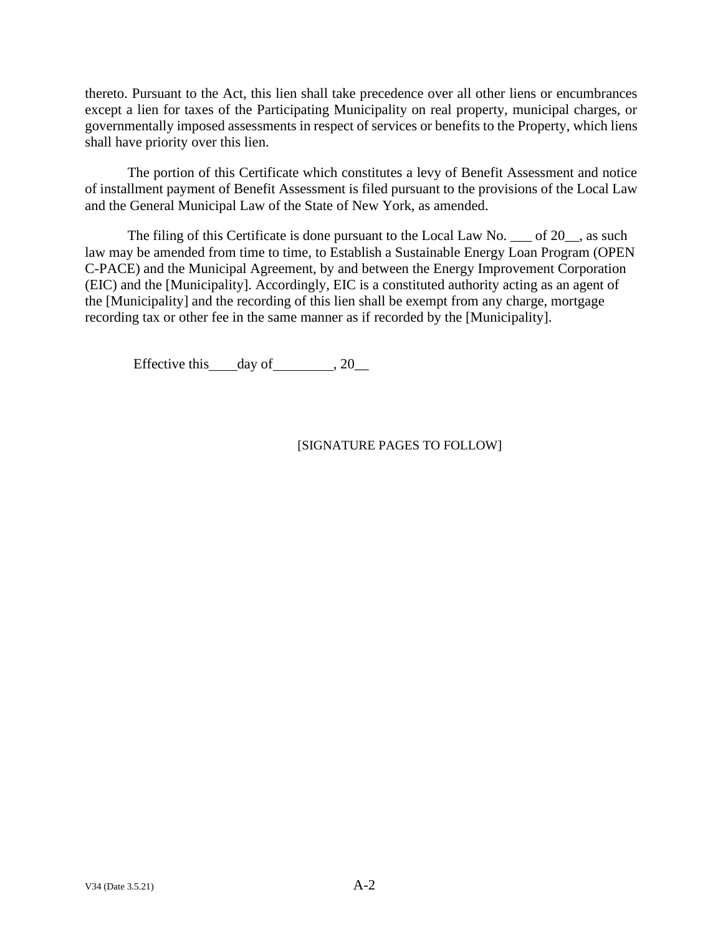thereto. Pursuant to the Act, this lien shall take precedence over all other liens or encumbrances except a lien for taxes of the Participating Municipality on real property, municipal charges, or governmentally imposed assessments in respect of services or benefits to the Property, which liens shall have priority over this lien.

The portion of this Certificate which constitutes a levy of Benefit Assessment and notice of installment payment of Benefit Assessment is filed pursuant to the provisions of the Local Law and the General Municipal Law of the State of New York, as amended.

The filing of this Certificate is done pursuant to the Local Law No. \_\_\_ of 20\_\_, as such law may be amended from time to time, to Establish a Sustainable Energy Loan Program (OPEN C-PACE) and the Municipal Agreement, by and between the Energy Improvement Corporation (EIC) and the [Municipality]. Accordingly, EIC is a constituted authority acting as an agent of the [Municipality] and the recording of this lien shall be exempt from any charge, mortgage recording tax or other fee in the same manner as if recorded by the [Municipality].

Effective this day of  $, 20$ 

## [SIGNATURE PAGES TO FOLLOW]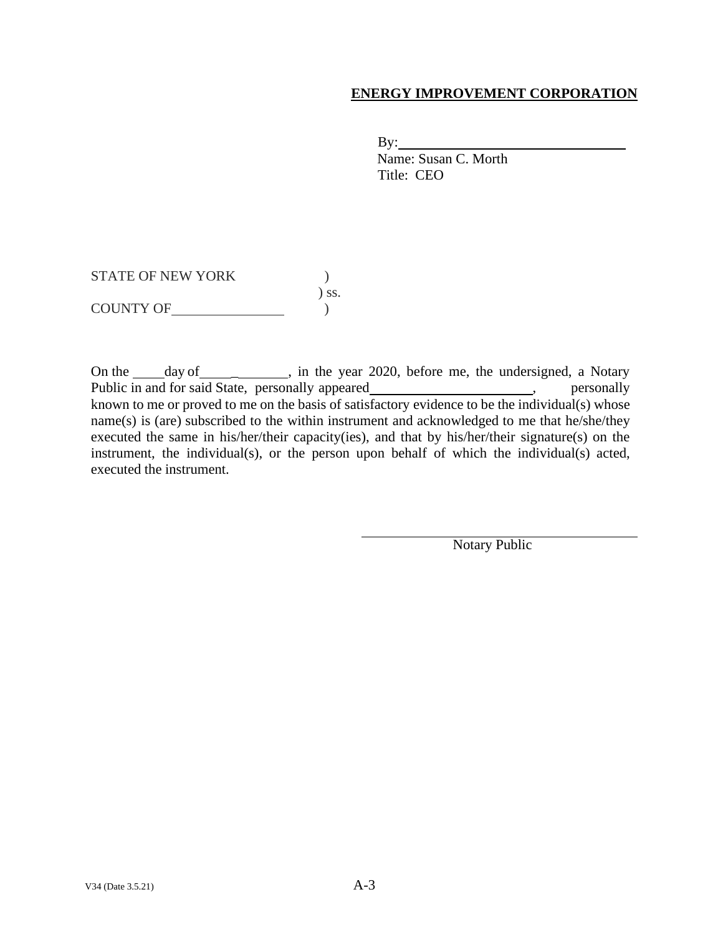# **ENERGY IMPROVEMENT CORPORATION**

 $By:$ 

Name: Susan C. Morth Title: CEO

STATE OF NEW YORK  $\qquad \qquad$  ) ) ss. COUNTY OF  $\qquad \qquad$ 

On the \_\_\_\_\_\_ day of \_\_\_\_\_\_\_\_\_\_\_, in the year 2020, before me, the undersigned, a Notary Public in and for said State, personally appeared \_\_\_\_\_\_\_\_\_\_\_\_\_\_\_\_\_\_\_\_\_, personally known to me or proved to me on the basis of satisfactory evidence to be the individual(s) whose name(s) is (are) subscribed to the within instrument and acknowledged to me that he/she/they executed the same in his/her/their capacity(ies), and that by his/her/their signature(s) on the instrument, the individual(s), or the person upon behalf of which the individual(s) acted, executed the instrument.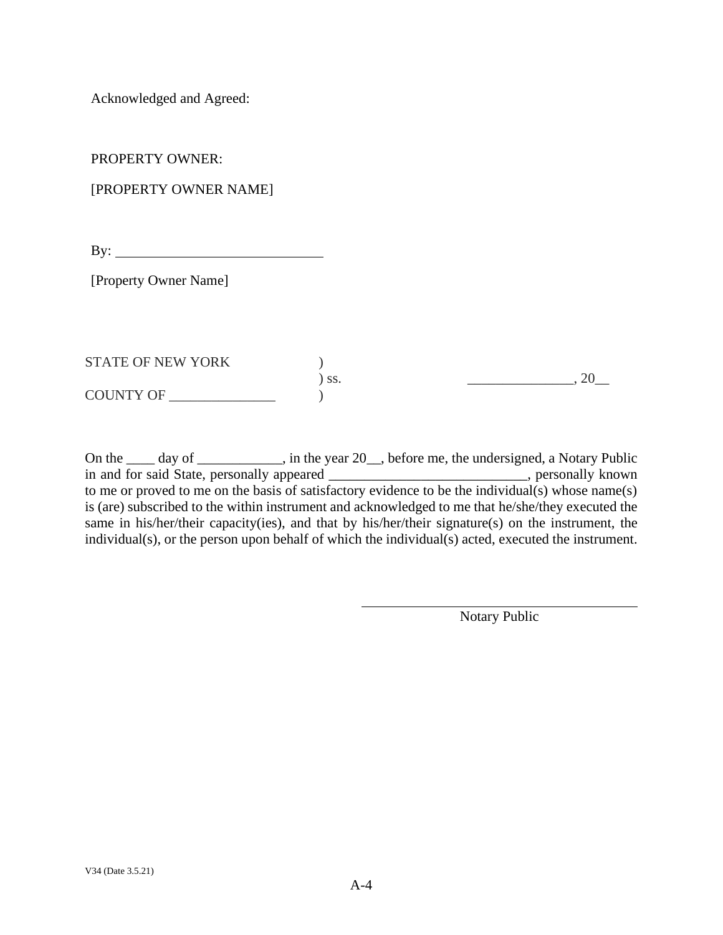Acknowledged and Agreed:

PROPERTY OWNER:

# [PROPERTY OWNER NAME]

 $\mathbf{B} \mathbf{y}$ :

[Property Owner Name]

| <b>STATE OF NEW YORK</b> |     |  |
|--------------------------|-----|--|
|                          | SS. |  |
| COUNTY OF                |     |  |

On the \_\_\_\_ day of \_\_\_\_\_\_\_\_\_, in the year 20\_, before me, the undersigned, a Notary Public in and for said State, personally appeared \_\_\_\_\_\_\_\_\_\_\_\_\_\_\_\_\_\_\_\_\_\_\_\_\_\_\_\_, personally known to me or proved to me on the basis of satisfactory evidence to be the individual(s) whose name(s) is (are) subscribed to the within instrument and acknowledged to me that he/she/they executed the same in his/her/their capacity(ies), and that by his/her/their signature(s) on the instrument, the individual(s), or the person upon behalf of which the individual(s) acted, executed the instrument.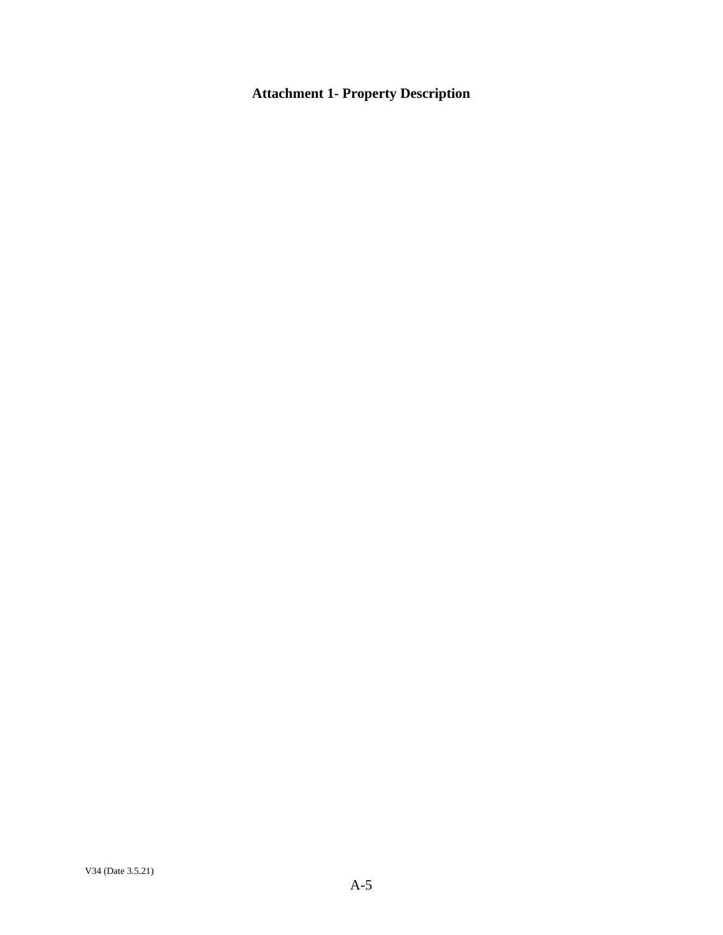# **Attachment 1- Property Description**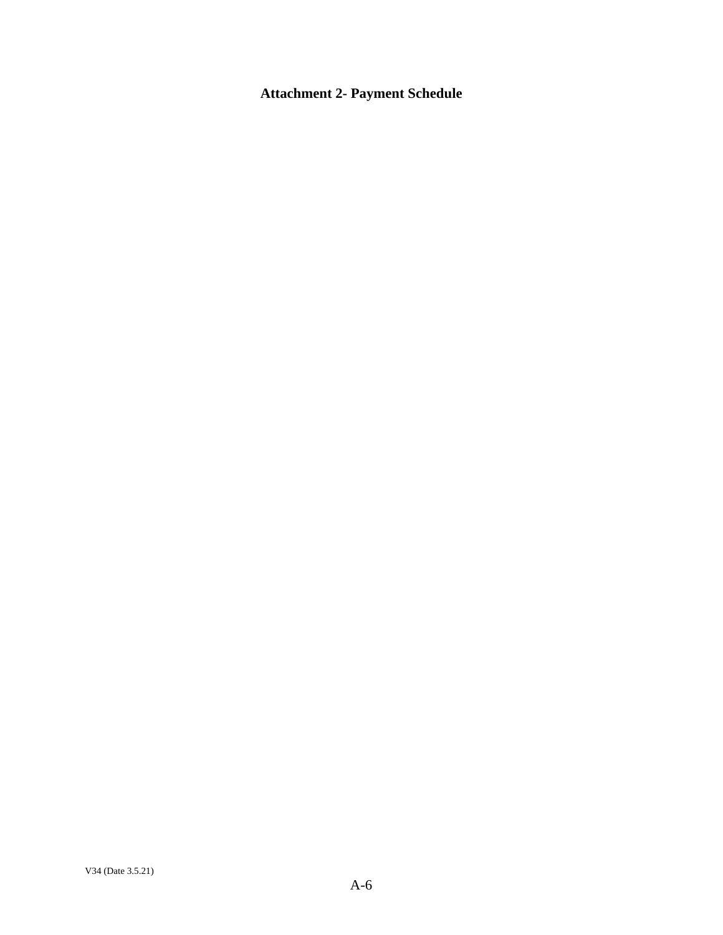# **Attachment 2- Payment Schedule**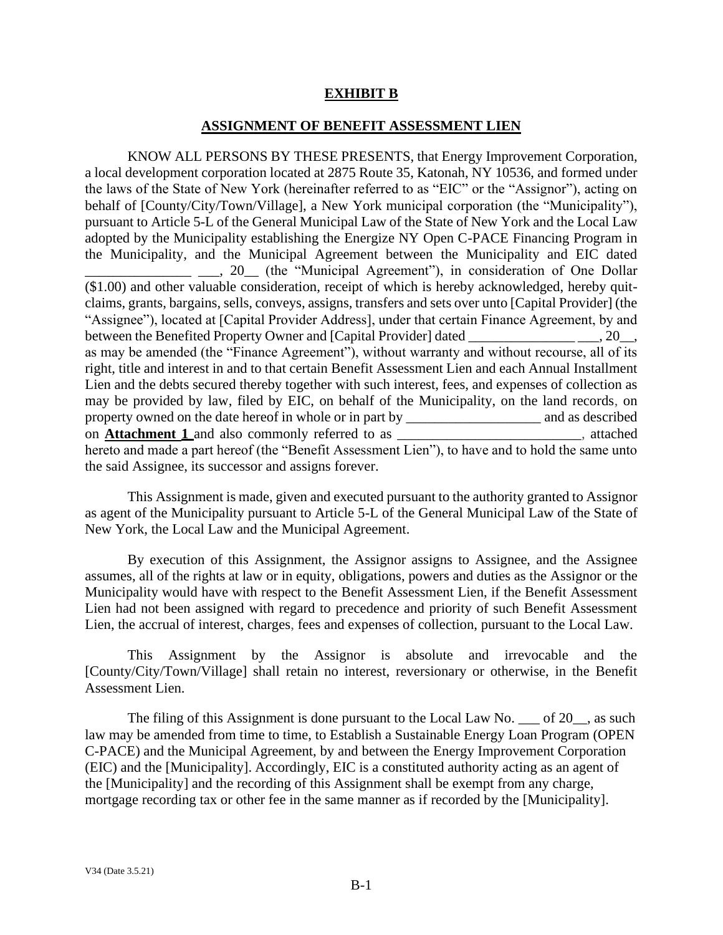#### **EXHIBIT B**

#### **ASSIGNMENT OF BENEFIT ASSESSMENT LIEN**

<span id="page-23-0"></span>KNOW ALL PERSONS BY THESE PRESENTS, that Energy Improvement Corporation, a local development corporation located at 2875 Route 35, Katonah, NY 10536, and formed under the laws of the State of New York (hereinafter referred to as "EIC" or the "Assignor"), acting on behalf of [County/City/Town/Village], a New York municipal corporation (the "Municipality"), pursuant to Article 5-L of the General Municipal Law of the State of New York and the Local Law adopted by the Municipality establishing the Energize NY Open C-PACE Financing Program in the Municipality, and the Municipal Agreement between the Municipality and EIC dated 1. 20 (the "Municipal Agreement"), in consideration of One Dollar (\$1.00) and other valuable consideration, receipt of which is hereby acknowledged, hereby quitclaims, grants, bargains, sells, conveys, assigns, transfers and sets over unto [Capital Provider] (the "Assignee"), located at [Capital Provider Address], under that certain Finance Agreement, by and between the Benefited Property Owner and [Capital Provider] dated \_\_\_\_\_\_\_\_\_\_\_\_\_\_\_\_\_\_\_, 20\_\_, as may be amended (the "Finance Agreement"), without warranty and without recourse, all of its right, title and interest in and to that certain Benefit Assessment Lien and each Annual Installment Lien and the debts secured thereby together with such interest, fees, and expenses of collection as may be provided by law, filed by EIC, on behalf of the Municipality, on the land records, on property owned on the date hereof in whole or in part by \_\_\_\_\_\_\_\_\_\_\_\_\_\_\_\_\_\_\_ and as described on **Attachment 1** and also commonly referred to as \_\_\_\_\_\_\_\_\_\_\_\_\_\_\_\_\_\_\_\_\_\_\_\_\_\_, attached hereto and made a part hereof (the "Benefit Assessment Lien"), to have and to hold the same unto the said Assignee, its successor and assigns forever.

This Assignment is made, given and executed pursuant to the authority granted to Assignor as agent of the Municipality pursuant to Article 5-L of the General Municipal Law of the State of New York, the Local Law and the Municipal Agreement.

By execution of this Assignment, the Assignor assigns to Assignee, and the Assignee assumes, all of the rights at law or in equity, obligations, powers and duties as the Assignor or the Municipality would have with respect to the Benefit Assessment Lien, if the Benefit Assessment Lien had not been assigned with regard to precedence and priority of such Benefit Assessment Lien, the accrual of interest, charges, fees and expenses of collection, pursuant to the Local Law.

This Assignment by the Assignor is absolute and irrevocable and the [County/City/Town/Village] shall retain no interest, reversionary or otherwise, in the Benefit Assessment Lien.

The filing of this Assignment is done pursuant to the Local Law No. \_\_\_ of 20\_\_, as such law may be amended from time to time, to Establish a Sustainable Energy Loan Program (OPEN C-PACE) and the Municipal Agreement, by and between the Energy Improvement Corporation (EIC) and the [Municipality]. Accordingly, EIC is a constituted authority acting as an agent of the [Municipality] and the recording of this Assignment shall be exempt from any charge, mortgage recording tax or other fee in the same manner as if recorded by the [Municipality].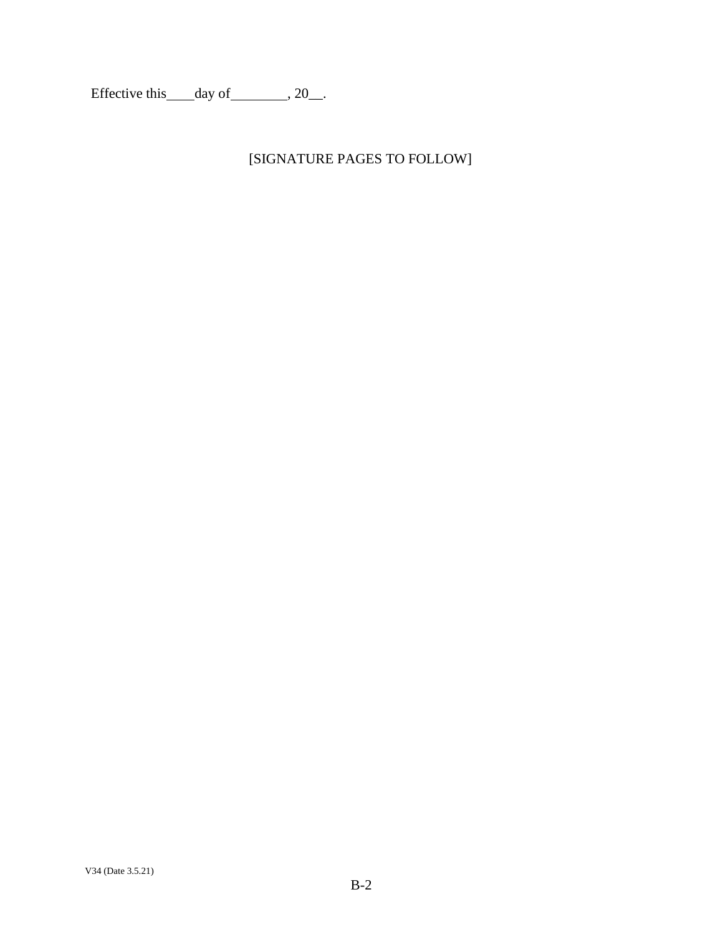Effective this  $\_\_day\$  of  $\_\_$ , 20 $\_\_$ .

# [SIGNATURE PAGES TO FOLLOW]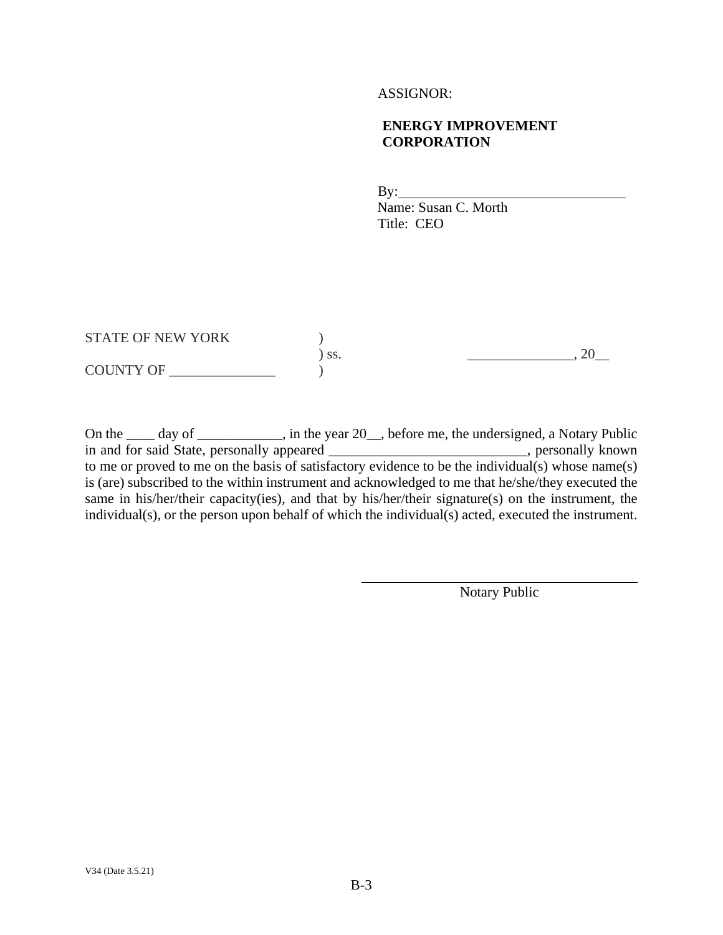#### ASSIGNOR:

## **ENERGY IMPROVEMENT CORPORATION**

By:

Name: Susan C. Morth Title: CEO

STATE OF NEW YORK  $)$  $\big)$  ss.  $\qquad \qquad \underbrace{\qquad \qquad}_{\qquad \qquad \qquad }$ , 20\_ COUNTY OF \_\_\_\_\_\_\_\_\_\_\_\_\_\_\_ )

On the \_\_\_\_ day of \_\_\_\_\_\_\_\_\_, in the year 20\_, before me, the undersigned, a Notary Public in and for said State, personally appeared example and state personally known to me or proved to me on the basis of satisfactory evidence to be the individual(s) whose name(s) is (are) subscribed to the within instrument and acknowledged to me that he/she/they executed the same in his/her/their capacity(ies), and that by his/her/their signature(s) on the instrument, the individual(s), or the person upon behalf of which the individual(s) acted, executed the instrument.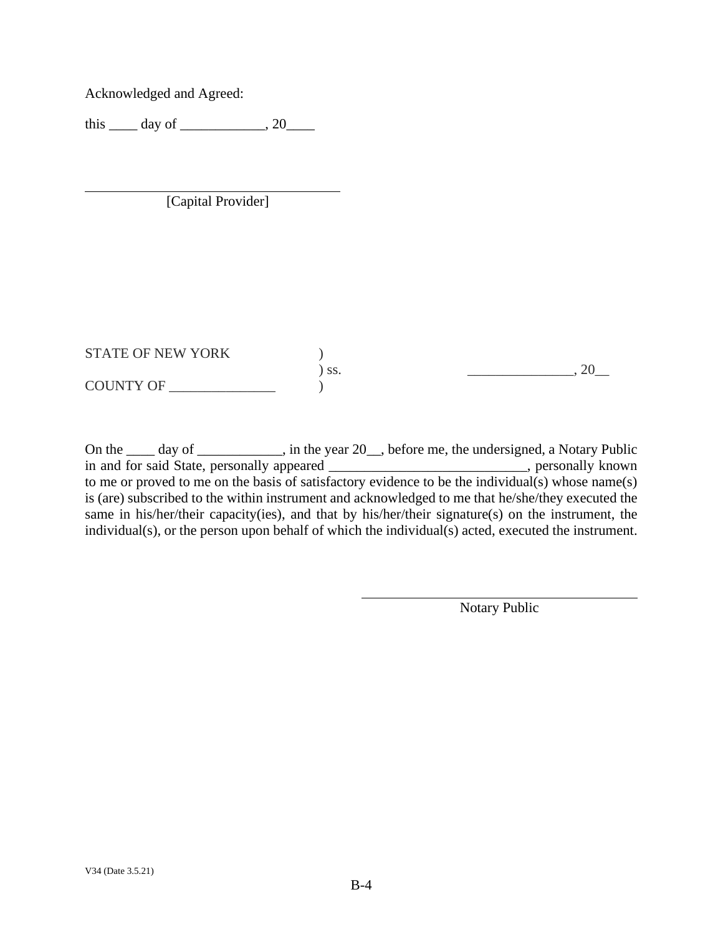Acknowledged and Agreed:

this  $\_\_$  day of  $\_\_$ , 20

[Capital Provider]

STATE OF NEW YORK  $)$  $\sum$  ss.  $\sum$   $\sum$  ss. COUNTY OF \_\_\_\_\_\_\_\_\_\_\_\_\_\_\_ )

On the \_\_\_\_ day of \_\_\_\_\_\_\_\_\_, in the year 20\_, before me, the undersigned, a Notary Public in and for said State, personally appeared \_\_\_\_\_\_\_\_\_\_\_\_\_\_\_\_\_\_\_\_\_\_\_\_, personally known to me or proved to me on the basis of satisfactory evidence to be the individual(s) whose name(s) is (are) subscribed to the within instrument and acknowledged to me that he/she/they executed the same in his/her/their capacity(ies), and that by his/her/their signature(s) on the instrument, the individual(s), or the person upon behalf of which the individual(s) acted, executed the instrument.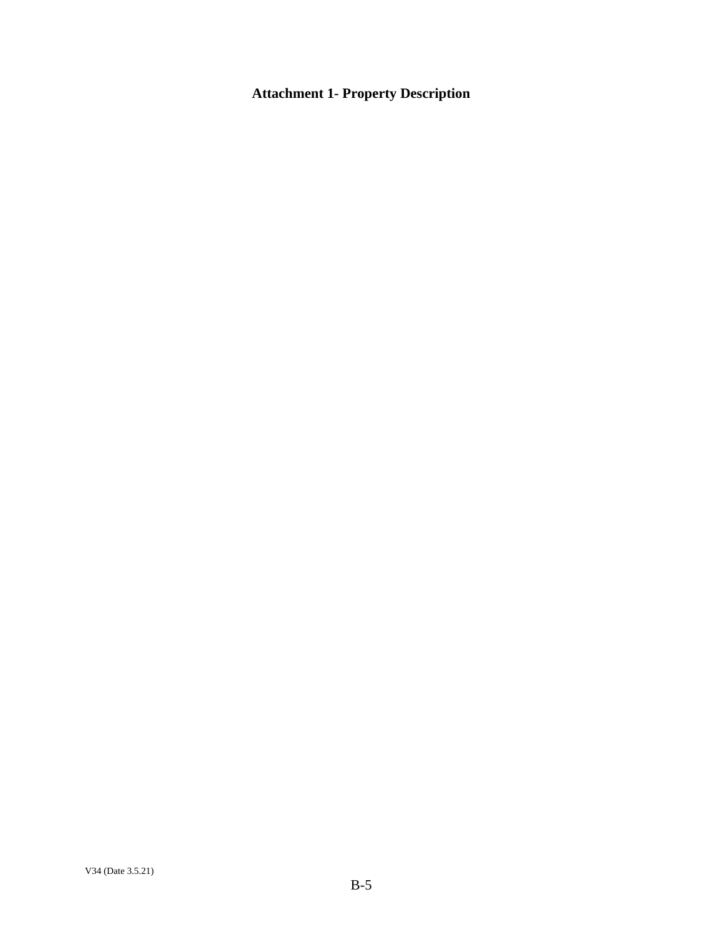# **Attachment 1- Property Description**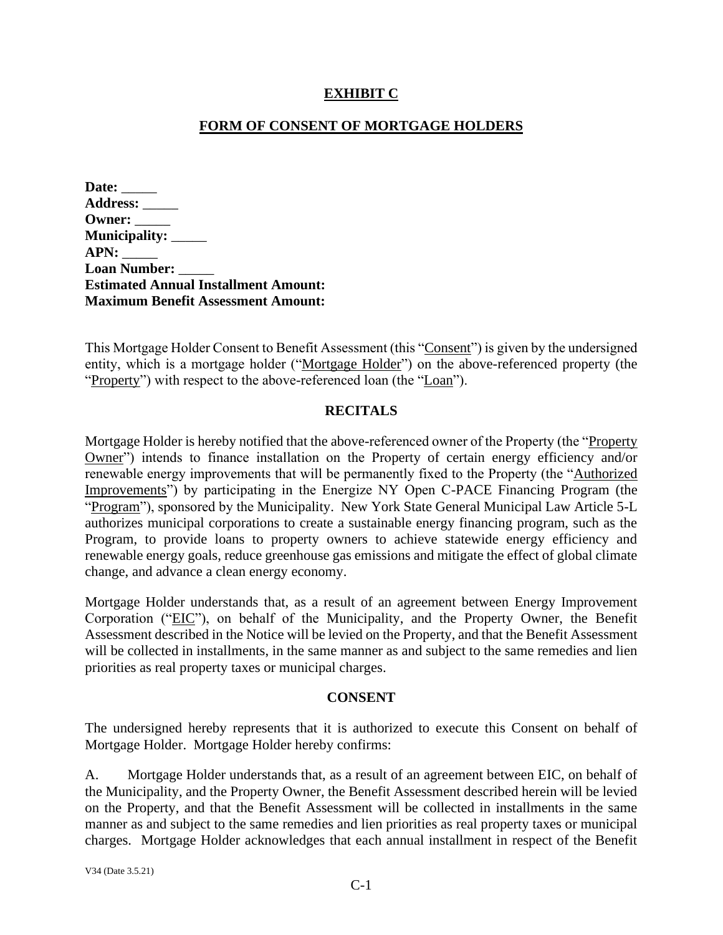## **EXHIBIT C**

## **FORM OF CONSENT OF MORTGAGE HOLDERS**

<span id="page-28-0"></span>

| Date: $\_\_$                                |
|---------------------------------------------|
| <b>Address:</b>                             |
| $O$ wner: $\_\_$                            |
| Municipality: _____                         |
| APN:                                        |
| Loan Number: _____                          |
| <b>Estimated Annual Installment Amount:</b> |
| <b>Maximum Benefit Assessment Amount:</b>   |

This Mortgage Holder Consent to Benefit Assessment (this "Consent") is given by the undersigned entity, which is a mortgage holder ("Mortgage Holder") on the above-referenced property (the "Property") with respect to the above-referenced loan (the "Loan").

### **RECITALS**

Mortgage Holder is hereby notified that the above-referenced owner of the Property (the "Property Owner") intends to finance installation on the Property of certain energy efficiency and/or renewable energy improvements that will be permanently fixed to the Property (the "Authorized Improvements") by participating in the Energize NY Open C-PACE Financing Program (the "Program"), sponsored by the Municipality. New York State General Municipal Law Article 5-L authorizes municipal corporations to create a sustainable energy financing program, such as the Program, to provide loans to property owners to achieve statewide energy efficiency and renewable energy goals, reduce greenhouse gas emissions and mitigate the effect of global climate change, and advance a clean energy economy.

Mortgage Holder understands that, as a result of an agreement between Energy Improvement Corporation ("EIC"), on behalf of the Municipality, and the Property Owner, the Benefit Assessment described in the Notice will be levied on the Property, and that the Benefit Assessment will be collected in installments, in the same manner as and subject to the same remedies and lien priorities as real property taxes or municipal charges.

#### **CONSENT**

The undersigned hereby represents that it is authorized to execute this Consent on behalf of Mortgage Holder. Mortgage Holder hereby confirms:

A. Mortgage Holder understands that, as a result of an agreement between EIC, on behalf of the Municipality, and the Property Owner, the Benefit Assessment described herein will be levied on the Property, and that the Benefit Assessment will be collected in installments in the same manner as and subject to the same remedies and lien priorities as real property taxes or municipal charges. Mortgage Holder acknowledges that each annual installment in respect of the Benefit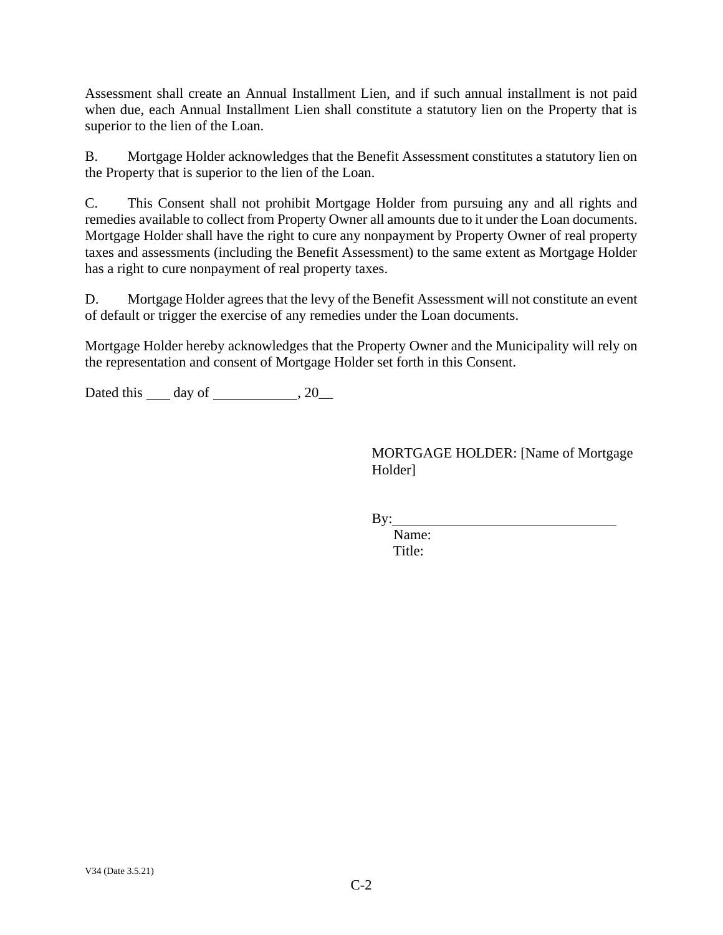Assessment shall create an Annual Installment Lien, and if such annual installment is not paid when due, each Annual Installment Lien shall constitute a statutory lien on the Property that is superior to the lien of the Loan.

B. Mortgage Holder acknowledges that the Benefit Assessment constitutes a statutory lien on the Property that is superior to the lien of the Loan.

C. This Consent shall not prohibit Mortgage Holder from pursuing any and all rights and remedies available to collect from Property Owner all amounts due to it under the Loan documents. Mortgage Holder shall have the right to cure any nonpayment by Property Owner of real property taxes and assessments (including the Benefit Assessment) to the same extent as Mortgage Holder has a right to cure nonpayment of real property taxes.

D. Mortgage Holder agrees that the levy of the Benefit Assessment will not constitute an event of default or trigger the exercise of any remedies under the Loan documents.

Mortgage Holder hereby acknowledges that the Property Owner and the Municipality will rely on the representation and consent of Mortgage Holder set forth in this Consent.

Dated this  $\_\_$  day of  $\_\_\_\_\_$ , 20 $\_\_\_\_\$ 

MORTGAGE HOLDER: [Name of Mortgage Holder]

 $By:$ 

Name: Title: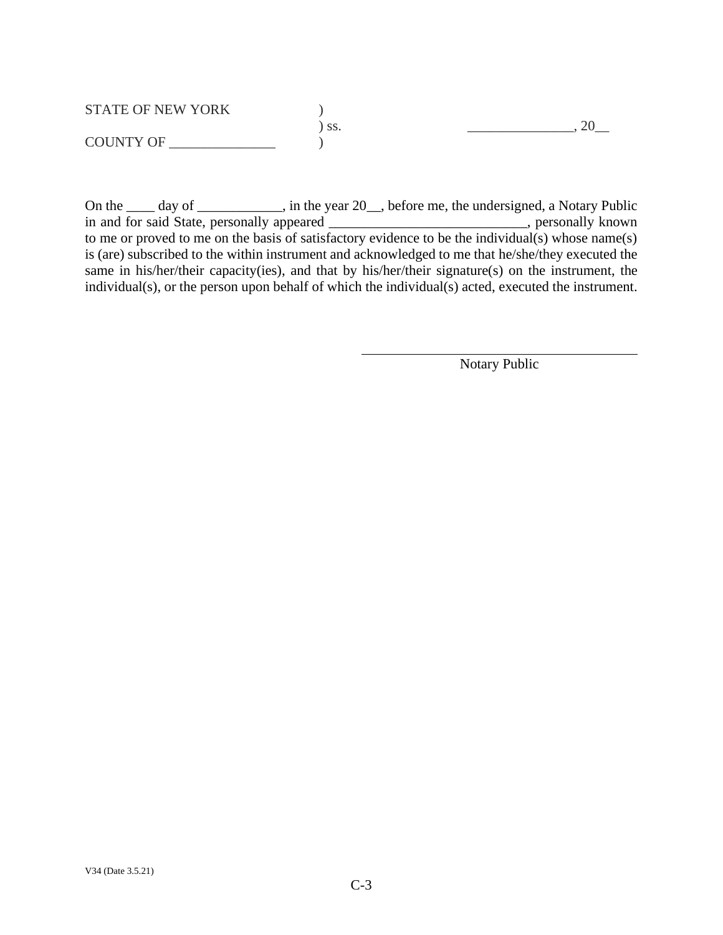| <b>STATE OF NEW YORK</b> |     |  |
|--------------------------|-----|--|
|                          | SS. |  |
| <b>COUNTY OF</b>         |     |  |

On the \_\_\_\_ day of \_\_\_\_\_\_\_\_\_, in the year 20\_, before me, the undersigned, a Notary Public in and for said State, personally appeared \_\_\_\_\_\_\_\_\_\_\_\_\_\_\_\_\_\_\_\_\_\_\_, personally known to me or proved to me on the basis of satisfactory evidence to be the individual(s) whose name(s) is (are) subscribed to the within instrument and acknowledged to me that he/she/they executed the same in his/her/their capacity(ies), and that by his/her/their signature(s) on the instrument, the individual(s), or the person upon behalf of which the individual(s) acted, executed the instrument.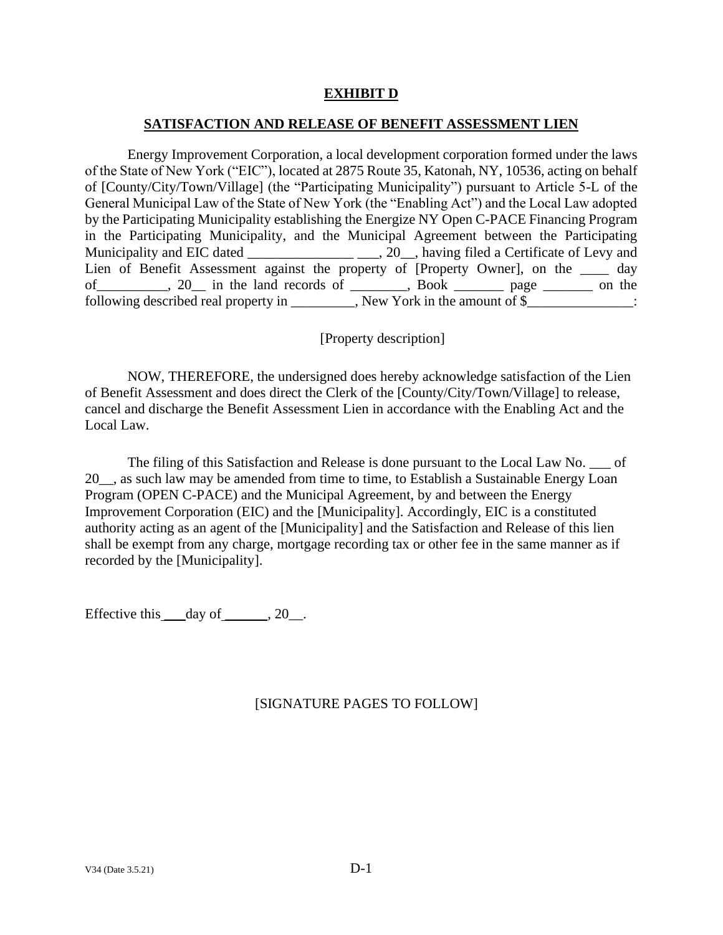## **EXHIBIT D**

#### **SATISFACTION AND RELEASE OF BENEFIT ASSESSMENT LIEN**

<span id="page-31-1"></span><span id="page-31-0"></span>Energy Improvement Corporation, a local development corporation formed under the laws of the State of New York ("EIC"), located at 2875 Route 35, Katonah, NY, 10536, acting on behalf of [County/City/Town/Village] (the "Participating Municipality") pursuant to Article 5-L of the General Municipal Law of the State of New York (the "Enabling Act") and the Local Law adopted by the Participating Municipality establishing the Energize NY Open C-PACE Financing Program in the Participating Municipality, and the Municipal Agreement between the Participating Municipality and EIC dated \_\_\_\_\_\_\_\_\_\_\_\_\_\_\_\_\_\_\_\_\_\_\_, 20\_\_, having filed a Certificate of Levy and Lien of Benefit Assessment against the property of [Property Owner], on the \_\_\_\_ day of\_\_\_\_\_\_\_\_\_\_, 20\_\_ in the land records of \_\_\_\_\_\_\_\_, Book \_\_\_\_\_\_\_ page \_\_\_\_\_\_\_ on the following described real property in \_\_\_\_\_\_\_\_, New York in the amount of \$\_\_\_\_\_\_\_\_\_\_\_\_\_:

[Property description]

NOW, THEREFORE, the undersigned does hereby acknowledge satisfaction of the Lien of Benefit Assessment and does direct the Clerk of the [County/City/Town/Village] to release, cancel and discharge the Benefit Assessment Lien in accordance with the Enabling Act and the Local Law.

The filing of this Satisfaction and Release is done pursuant to the Local Law No. \_\_\_ of 20\_\_, as such law may be amended from time to time, to Establish a Sustainable Energy Loan Program (OPEN C-PACE) and the Municipal Agreement, by and between the Energy Improvement Corporation (EIC) and the [Municipality]. Accordingly, EIC is a constituted authority acting as an agent of the [Municipality] and the Satisfaction and Release of this lien shall be exempt from any charge, mortgage recording tax or other fee in the same manner as if recorded by the [Municipality].

Effective this  $\_\_day\$  of  $\_\_$ , 20 $\_\_$ .

# [SIGNATURE PAGES TO FOLLOW]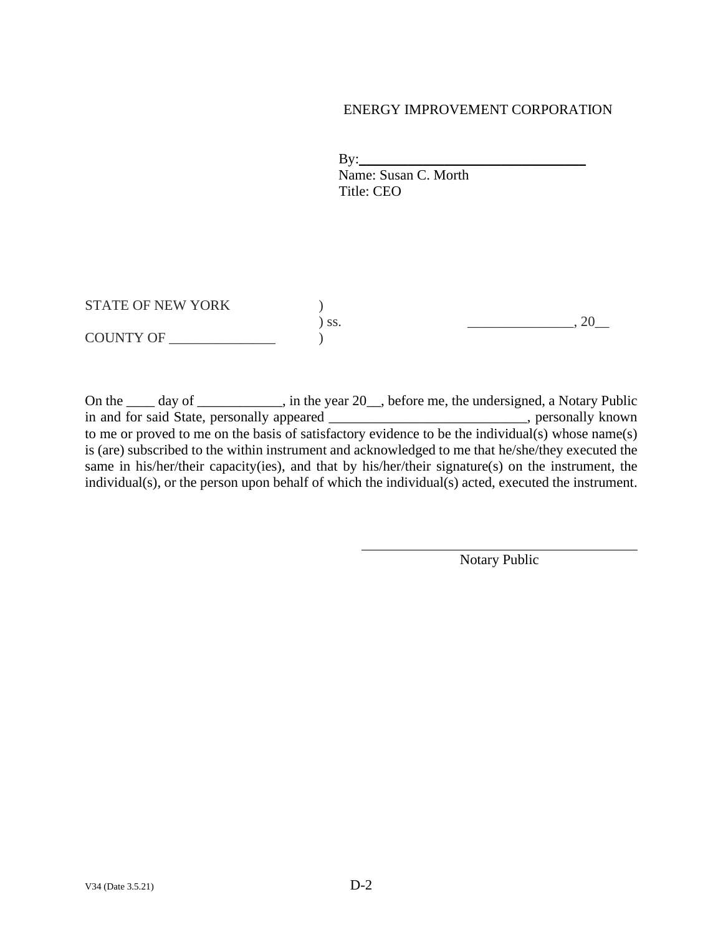### ENERGY IMPROVEMENT CORPORATION

 $\mathbf{By:}$  Name: Susan C. Morth Title: CEO

STATE OF NEW YORK  $)$ ) ss. \_\_\_\_\_\_\_\_\_\_\_\_\_\_\_, 20\_\_ COUNTY OF \_\_\_\_\_\_\_\_\_\_\_\_\_\_\_ )

On the \_\_\_\_ day of \_\_\_\_\_\_\_\_\_, in the year 20\_, before me, the undersigned, a Notary Public in and for said State, personally appeared \_\_\_\_\_\_\_\_\_\_\_\_\_\_\_\_\_\_\_\_\_\_\_, personally known to me or proved to me on the basis of satisfactory evidence to be the individual(s) whose name(s) is (are) subscribed to the within instrument and acknowledged to me that he/she/they executed the same in his/her/their capacity(ies), and that by his/her/their signature(s) on the instrument, the individual(s), or the person upon behalf of which the individual(s) acted, executed the instrument.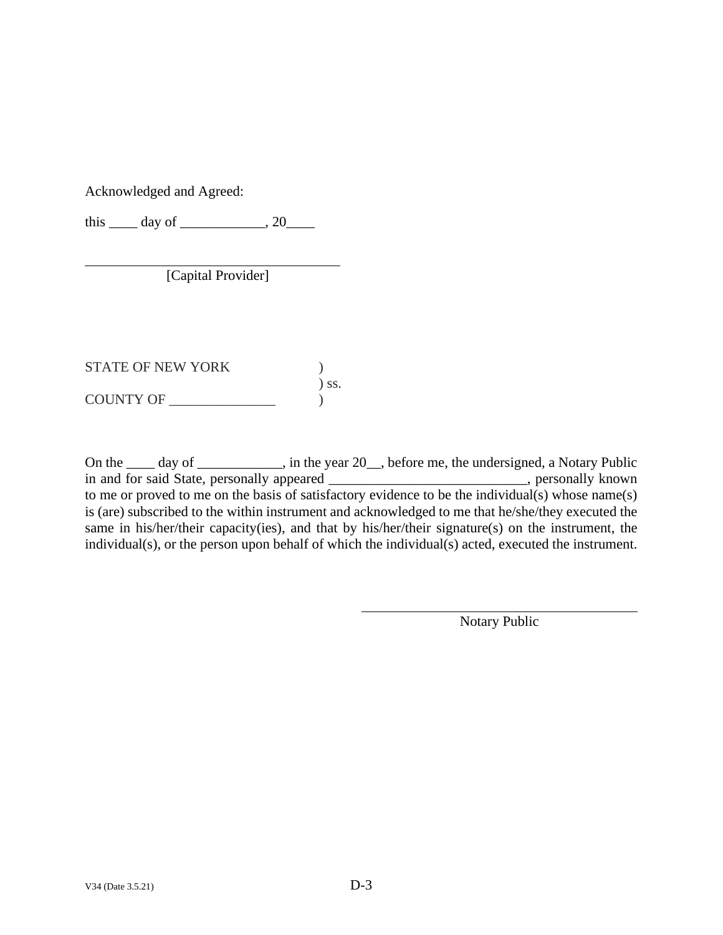Acknowledged and Agreed:

this  $\_\_$  day of  $\_\_$ , 20 $\_\_$ 

[Capital Provider]

STATE OF NEW YORK  $)$ ) ss.  $\begin{array}{c}\n\text{COUNTY OF}\n\end{array}$ 

On the \_\_\_\_ day of \_\_\_\_\_\_\_\_\_\_, in the year 20\_, before me, the undersigned, a Notary Public in and for said State, personally appeared \_\_\_\_\_\_\_\_\_\_\_\_\_\_\_\_\_\_\_\_\_\_\_\_\_\_\_\_, personally known to me or proved to me on the basis of satisfactory evidence to be the individual(s) whose name(s) is (are) subscribed to the within instrument and acknowledged to me that he/she/they executed the same in his/her/their capacity(ies), and that by his/her/their signature(s) on the instrument, the individual(s), or the person upon behalf of which the individual(s) acted, executed the instrument.